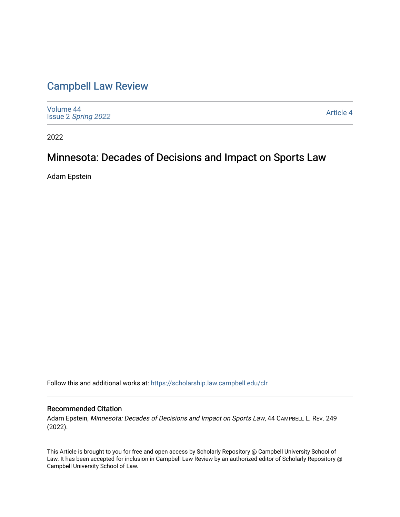# [Campbell Law Review](https://scholarship.law.campbell.edu/clr)

[Volume 44](https://scholarship.law.campbell.edu/clr/vol44) Issue 2 [Spring 2022](https://scholarship.law.campbell.edu/clr/vol44/iss2) 

[Article 4](https://scholarship.law.campbell.edu/clr/vol44/iss2/4) 

2022

# Minnesota: Decades of Decisions and Impact on Sports Law

Adam Epstein

Follow this and additional works at: [https://scholarship.law.campbell.edu/clr](https://scholarship.law.campbell.edu/clr?utm_source=scholarship.law.campbell.edu%2Fclr%2Fvol44%2Fiss2%2F4&utm_medium=PDF&utm_campaign=PDFCoverPages) 

## Recommended Citation

Adam Epstein, Minnesota: Decades of Decisions and Impact on Sports Law, 44 CAMPBELL L. REV. 249 (2022).

This Article is brought to you for free and open access by Scholarly Repository @ Campbell University School of Law. It has been accepted for inclusion in Campbell Law Review by an authorized editor of Scholarly Repository @ Campbell University School of Law.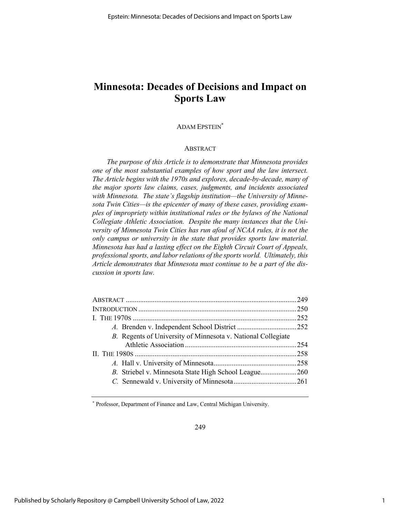# **Minnesota: Decades of Decisions and Impact on Sports Law**

## ADAM EPSTEIN\*

### ABSTRACT

*The purpose of this Article is to demonstrate that Minnesota provides one of the most substantial examples of how sport and the law intersect. The Article begins with the 1970s and explores, decade-by-decade, many of the major sports law claims, cases, judgments, and incidents associated with Minnesota. The state's flagship institution—the University of Minnesota Twin Cities—is the epicenter of many of these cases, providing examples of impropriety within institutional rules or the bylaws of the National Collegiate Athletic Association. Despite the many instances that the University of Minnesota Twin Cities has run afoul of NCAA rules, it is not the only campus or university in the state that provides sports law material. Minnesota has had a lasting effect on the Eighth Circuit Court of Appeals, professional sports, and labor relations of the sports world. Ultimately, this Article demonstrates that Minnesota must continue to be a part of the discussion in sports law.*

| B. Regents of University of Minnesota v. National Collegiate |  |
|--------------------------------------------------------------|--|
|                                                              |  |
|                                                              |  |
|                                                              |  |
| B. Striebel v. Minnesota State High School League260         |  |
|                                                              |  |
|                                                              |  |

\* Professor, Department of Finance and Law, Central Michigan University.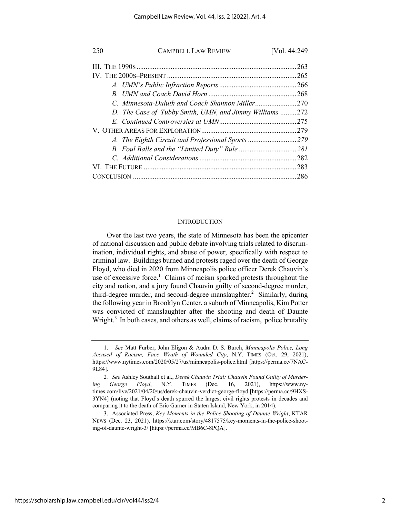| 250 | <b>CAMPBELL LAW REVIEW</b>                              | [Vol. 44:249 |
|-----|---------------------------------------------------------|--------------|
|     |                                                         | . 263        |
|     |                                                         | .265         |
|     |                                                         |              |
|     |                                                         |              |
|     |                                                         |              |
|     | D. The Case of Tubby Smith, UMN, and Jimmy Williams 272 |              |
|     |                                                         |              |
|     |                                                         |              |
|     |                                                         |              |
|     |                                                         |              |
|     |                                                         |              |
|     |                                                         | .283         |
|     |                                                         | .286         |

#### **INTRODUCTION**

Over the last two years, the state of Minnesota has been the epicenter of national discussion and public debate involving trials related to discrimination, individual rights, and abuse of power, specifically with respect to criminal law. Buildings burned and protests raged over the death of George Floyd, who died in 2020 from Minneapolis police officer Derek Chauvin's use of excessive force.<sup>1</sup> Claims of racism sparked protests throughout the city and nation, and a jury found Chauvin guilty of second-degree murder, third-degree murder, and second-degree manslaughter.<sup>2</sup> Similarly, during the following year in Brooklyn Center, a suburb of Minneapolis, Kim Potter was convicted of manslaughter after the shooting and death of Daunte Wright.<sup>3</sup> In both cases, and others as well, claims of racism, police brutality

<sup>1.</sup> *See* Matt Furber, John Eligon & Audra D. S. Burch, *Minneapolis Police, Long Accused of Racism, Face Wrath of Wounded City*, N.Y. TIMES (Oct. 29, 2021), https://www.nytimes.com/2020/05/27/us/minneapolis-police.html [https://perma.cc/7NAC-9L84].

<sup>2</sup>*. See* Ashley Southall et al., *Derek Chauvin Trial: Chauvin Found Guilty of Murdering George Floyd*, N.Y. TIMES (Dec. 16, 2021), https://www.nytimes.com/live/2021/04/20/us/derek-chauvin-verdict-george-floyd [https://perma.cc/9HXS-3YN4] (noting that Floyd's death spurred the largest civil rights protests in decades and comparing it to the death of Eric Garner in Staten Island, New York, in 2014).

<sup>3.</sup> Associated Press, *Key Moments in the Police Shooting of Daunte Wright*, KTAR NEWS (Dec. 23, 2021), https://ktar.com/story/4817575/key-moments-in-the-police-shooting-of-daunte-wright-3/ [https://perma.cc/MB6C-8PQA].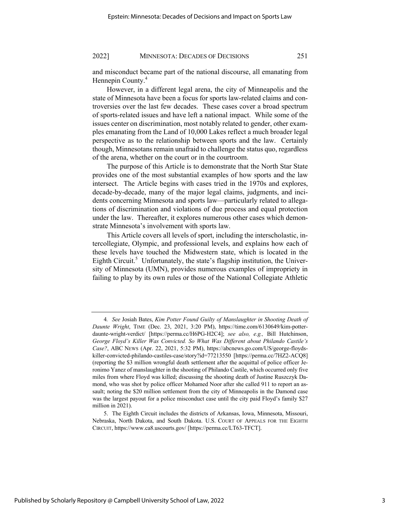and misconduct became part of the national discourse, all emanating from Hennepin County.<sup>4</sup>

However, in a different legal arena, the city of Minneapolis and the state of Minnesota have been a focus for sports law-related claims and controversies over the last few decades. These cases cover a broad spectrum of sports-related issues and have left a national impact. While some of the issues center on discrimination, most notably related to gender, other examples emanating from the Land of 10,000 Lakes reflect a much broader legal perspective as to the relationship between sports and the law. Certainly though, Minnesotans remain unafraid to challenge the status quo, regardless of the arena, whether on the court or in the courtroom.

The purpose of this Article is to demonstrate that the North Star State provides one of the most substantial examples of how sports and the law intersect. The Article begins with cases tried in the 1970s and explores, decade-by-decade, many of the major legal claims, judgments, and incidents concerning Minnesota and sports law—particularly related to allegations of discrimination and violations of due process and equal protection under the law. Thereafter, it explores numerous other cases which demonstrate Minnesota's involvement with sports law.

This Article covers all levels of sport, including the interscholastic, intercollegiate, Olympic, and professional levels, and explains how each of these levels have touched the Midwestern state, which is located in the Eighth Circuit.<sup>5</sup> Unfortunately, the state's flagship institution, the University of Minnesota (UMN), provides numerous examples of impropriety in failing to play by its own rules or those of the National Collegiate Athletic

<sup>4</sup>*. See* Josiah Bates, *Kim Potter Found Guilty of Manslaughter in Shooting Death of Daunte Wright*, TIME (Dec. 23, 2021, 3:20 PM), https://time.com/6130649/kim-potterdaunte-wright-verdict/ [https://perma.cc/H6PG-H2C4]; *see also, e.g.,* Bill Hutchinson, *George Floyd's Killer Was Convicted. So What Was Different about Philando Castile's Case?*, ABC NEWS (Apr. 22, 2021, 5:32 PM), https://abcnews.go.com/US/george-floydskiller-convicted-philando-castiles-case/story?id=77213550 [https://perma.cc/7HZ2-ACQ8] (reporting the \$3 million wrongful death settlement after the acquittal of police officer Jeronimo Yanez of manslaughter in the shooting of Philando Castile, which occurred only five miles from where Floyd was killed; discussing the shooting death of Justine Ruszczyk Damond, who was shot by police officer Mohamed Noor after she called 911 to report an assault; noting the \$20 million settlement from the city of Minneapolis in the Damond case was the largest payout for a police misconduct case until the city paid Floyd's family \$27 million in 2021).

<sup>5.</sup> The Eighth Circuit includes the districts of Arkansas, Iowa, Minnesota, Missouri, Nebraska, North Dakota, and South Dakota. U.S. COURT OF APPEALS FOR THE EIGHTH CIRCUIT, https://www.ca8.uscourts.gov/ [https://perma.cc/LT63-TFCT].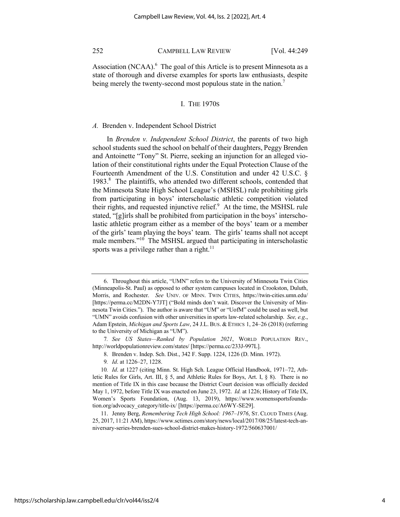Association (NCAA). $<sup>6</sup>$  The goal of this Article is to present Minnesota as a</sup> state of thorough and diverse examples for sports law enthusiasts, despite being merely the twenty-second most populous state in the nation.<sup>7</sup>

## I. THE 1970S

#### *A.* Brenden v. Independent School District

In *Brenden v. Independent School District*, the parents of two high school students sued the school on behalf of their daughters, Peggy Brenden and Antoinette "Tony" St. Pierre, seeking an injunction for an alleged violation of their constitutional rights under the Equal Protection Clause of the Fourteenth Amendment of the U.S. Constitution and under 42 U.S.C. § 1983.<sup>8</sup> The plaintiffs, who attended two different schools, contended that the Minnesota State High School League's (MSHSL) rule prohibiting girls from participating in boys' interscholastic athletic competition violated their rights, and requested injunctive relief. $9$  At the time, the MSHSL rule stated, "[g]irls shall be prohibited from participation in the boys' interscholastic athletic program either as a member of the boys' team or a member of the girls' team playing the boys' team. The girls' teams shall not accept male members."<sup>10</sup> The MSHSL argued that participating in interscholastic sports was a privilege rather than a right.<sup>11</sup>

<sup>6.</sup> Throughout this article, "UMN" refers to the University of Minnesota Twin Cities (Minneapolis-St. Paul) as opposed to other system campuses located in Crookston, Duluth, Morris, and Rochester. *See* UNIV. OF MINN. TWIN CITIES, https://twin-cities.umn.edu/ [https://perma.cc/M2DN-Y7JT] ("Bold minds don't wait. Discover the University of Minnesota Twin Cities."). The author is aware that "UM" or "UofM" could be used as well, but "UMN" avoids confusion with other universities in sports law-related scholarship. *See, e.g*., Adam Epstein, *Michigan and Sports Law*, 24 J.L. BUS. & ETHICS 1, 24–26 (2018) (referring to the University of Michigan as "UM").

<sup>7</sup>*. See US States—Ranked by Population 2021*, WORLD POPULATION REV., http://worldpopulationreview.com/states/ [https://perma.cc/233J-997L].

<sup>8.</sup> Brenden v. Indep. Sch. Dist., 342 F. Supp. 1224, 1226 (D. Minn. 1972).

<sup>9</sup>*. Id*. at 1226–27, 1228.

<sup>10</sup>*. Id*. at 1227 (citing Minn. St. High Sch. League Official Handbook, 1971–72, Athletic Rules for Girls, Art. III, § 5, and Athletic Rules for Boys, Art. I, § 8). There is no mention of Title IX in this case because the District Court decision was officially decided May 1, 1972, before Title IX was enacted on June 23, 1972. *Id.* at 1226; History of Title IX, Women's Sports Foundation, (Aug. 13, 2019), https://www.womenssportsfoundation.org/advocacy\_category/title-ix/ [https://perma.cc/A6WY-SE29].

<sup>11.</sup> Jenny Berg, *Remembering Tech High School: 1967–1976*, ST. CLOUD TIMES (Aug. 25, 2017, 11:21 AM), https://www.sctimes.com/story/news/local/2017/08/25/latest-tech-anniversary-series-brenden-sues-school-district-makes-history-1972/560637001/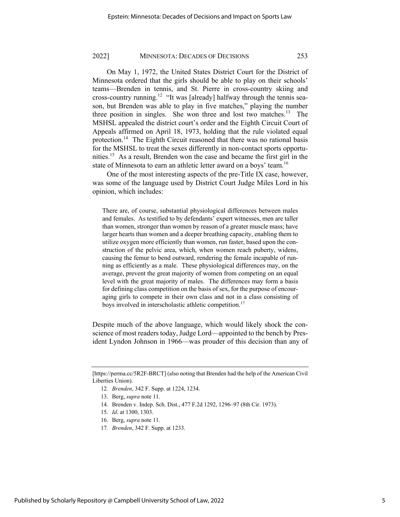On May 1, 1972, the United States District Court for the District of Minnesota ordered that the girls should be able to play on their schools' teams—Brenden in tennis, and St. Pierre in cross-country skiing and cross-country running.<sup>12</sup> "It was [already] halfway through the tennis season, but Brenden was able to play in five matches," playing the number three position in singles. She won three and lost two matches.<sup>13</sup> The MSHSL appealed the district court's order and the Eighth Circuit Court of Appeals affirmed on April 18, 1973, holding that the rule violated equal protection.<sup>14</sup> The Eighth Circuit reasoned that there was no rational basis for the MSHSL to treat the sexes differently in non-contact sports opportunities.<sup>15</sup> As a result, Brenden won the case and became the first girl in the state of Minnesota to earn an athletic letter award on a boys' team.<sup>16</sup>

One of the most interesting aspects of the pre-Title IX case, however, was some of the language used by District Court Judge Miles Lord in his opinion, which includes:

There are, of course, substantial physiological differences between males and females. As testified to by defendants' expert witnesses, men are taller than women, stronger than women by reason of a greater muscle mass; have larger hearts than women and a deeper breathing capacity, enabling them to utilize oxygen more efficiently than women, run faster, based upon the construction of the pelvic area, which, when women reach puberty, widens, causing the femur to bend outward, rendering the female incapable of running as efficiently as a male. These physiological differences may, on the average, prevent the great majority of women from competing on an equal level with the great majority of males. The differences may form a basis for defining class competition on the basis of sex, for the purpose of encouraging girls to compete in their own class and not in a class consisting of boys involved in interscholastic athletic competition.<sup>17</sup>

Despite much of the above language, which would likely shock the conscience of most readers today, Judge Lord—appointed to the bench by President Lyndon Johnson in 1966—was prouder of this decision than any of

- 13. Berg, *supra* note 11.
- 14. Brenden v. Indep. Sch. Dist., 477 F.2d 1292, 1296–97 (8th Cir. 1973).
- 15*. Id*. at 1300, 1303.
- 16. Berg, *supra* note 11.
- 17*. Brenden*, 342 F. Supp. at 1233.

<sup>[</sup>https://perma.cc/5R2F-BRCT] (also noting that Brenden had the help of the American Civil Liberties Union).

<sup>12</sup>*. Brenden*, 342 F. Supp. at 1224, 1234.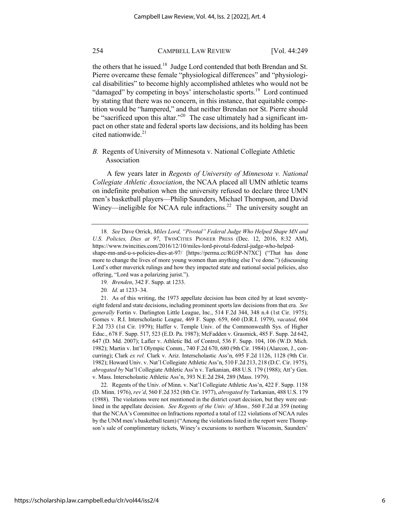the others that he issued.<sup>18</sup> Judge Lord contended that both Brendan and St. Pierre overcame these female "physiological differences" and "physiological disabilities" to become highly accomplished athletes who would not be "damaged" by competing in boys' interscholastic sports.<sup>19</sup> Lord continued by stating that there was no concern, in this instance, that equitable competition would be "hampered," and that neither Brendan nor St. Pierre should be "sacrificed upon this altar."<sup>20</sup> The case ultimately had a significant impact on other state and federal sports law decisions, and its holding has been cited nationwide. $21$ 

*B.* Regents of University of Minnesota v. National Collegiate Athletic Association

A few years later in *Regents of University of Minnesota v. National Collegiate Athletic Association*, the NCAA placed all UMN athletic teams on indefinite probation when the university refused to declare three UMN men's basketball players—Philip Saunders, Michael Thompson, and David Winey—ineligible for NCAA rule infractions.<sup>22</sup> The university sought an

- 19*. Brenden*, 342 F. Supp. at 1233.
- 20*. Id*. at 1233–34.

21. As of this writing, the 1973 appellate decision has been cited by at least seventyeight federal and state decisions, including prominent sports law decisions from that era. *See generally* Fortin v. Darlington Little League, Inc., 514 F.2d 344, 348 n.4 (1st Cir. 1975); Gomes v. R.I. Interscholastic League, 469 F. Supp. 659, 660 (D.R.I. 1979), *vacated*, 604 F.2d 733 (1st Cir. 1979); Haffer v. Temple Univ. of the Commonwealth Sys. of Higher Educ., 678 F. Supp. 517, 523 (E.D. Pa. 1987); McFadden v. Grasmick, 485 F. Supp. 2d 642, 647 (D. Md. 2007); Lafler v. Athletic Bd. of Control, 536 F. Supp. 104, 106 (W.D. Mich. 1982); Martin v. Int'l Olympic Comm., 740 F.2d 670, 680 (9th Cir. 1984) (Alarcon, J., concurring); Clark *ex rel.* Clark v. Ariz. Interscholastic Ass'n, 695 F.2d 1126, 1128 (9th Cir. 1982); Howard Univ. v. Nat'l Collegiate Athletic Ass'n, 510 F.2d 213, 218 (D.C. Cir. 1975), *abrogated by* Nat'l Collegiate Athletic Ass'n v. Tarkanian, 488 U.S. 179 (1988); Att'y Gen. v. Mass. Interscholastic Athletic Ass'n, 393 N.E.2d 284, 289 (Mass. 1979).

22. Regents of the Univ. of Minn. v. Nat'l Collegiate Athletic Ass'n, 422 F. Supp. 1158 (D. Minn. 1976), *rev'd*, 560 F.2d 352 (8th Cir. 1977), *abrogated by* Tarkanian, 488 U.S. 179 (1988). The violations were not mentioned in the district court decision, but they were outlined in the appellate decision. *See Regents of the Univ. of Minn.,* 560 F.2d at 359 (noting that the NCAA's Committee on Infractions reported a total of 122 violations of NCAA rules by the UNM men's basketball team) ("Among the violations listed in the report were Thompson's sale of complimentary tickets, Winey's excursions to northern Wisconsin, Saunders'

<sup>18</sup>*. See* Dave Orrick, *Miles Lord, "Pivotal" Federal Judge Who Helped Shape MN and U.S. Policies, Dies at 97*, TWINCITIES PIONEER PRESS (Dec. 12, 2016, 8:32 AM), https://www.twincities.com/2016/12/10/miles-lord-pivotal-federal-judge-who-helpedshape-mn-and-u-s-policies-dies-at-97/ [https://perma.cc/RG5P-N7XC] ("That has done more to change the lives of more young women than anything else I've done.") (discussing Lord's other maverick rulings and how they impacted state and national social policies, also offering, "Lord was a polarizing jurist.").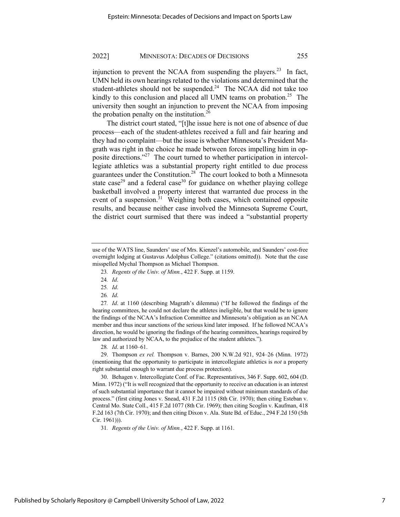injunction to prevent the NCAA from suspending the players.<sup>23</sup> In fact, UMN held its own hearings related to the violations and determined that the student-athletes should not be suspended. $24$  The NCAA did not take too kindly to this conclusion and placed all UMN teams on probation.<sup>25</sup> The university then sought an injunction to prevent the NCAA from imposing the probation penalty on the institution.<sup>26</sup>

The district court stated, "[t]he issue here is not one of absence of due process—each of the student-athletes received a full and fair hearing and they had no complaint—but the issue is whether Minnesota's President Magrath was right in the choice he made between forces impelling him in opposite directions."27 The court turned to whether participation in intercollegiate athletics was a substantial property right entitled to due process guarantees under the Constitution.28 The court looked to both a Minnesota state case<sup>29</sup> and a federal case<sup>30</sup> for guidance on whether playing college basketball involved a property interest that warranted due process in the event of a suspension.<sup>31</sup> Weighing both cases, which contained opposite results, and because neither case involved the Minnesota Supreme Court, the district court surmised that there was indeed a "substantial property

- 23*. Regents of the Univ. of Minn.*, 422 F. Supp. at 1159.
- 24*. Id*.
- 25*. Id*.
- 26*. Id*.

27*. Id*. at 1160 (describing Magrath's dilemma) ("If he followed the findings of the hearing committees, he could not declare the athletes ineligible, but that would be to ignore the findings of the NCAA's Infraction Committee and Minnesota's obligation as an NCAA member and thus incur sanctions of the serious kind later imposed. If he followed NCAA's direction, he would be ignoring the findings of the hearing committees, hearings required by law and authorized by NCAA, to the prejudice of the student athletes.").

28*. Id*. at 1160–61.

29. Thompson *ex rel.* Thompson v. Barnes, 200 N.W.2d 921, 924–26 (Minn. 1972) (mentioning that the opportunity to participate in intercollegiate athletics is *not* a property right substantial enough to warrant due process protection).

30. Behagen v. Intercollegiate Conf. of Fac. Representatives, 346 F. Supp. 602, 604 (D. Minn. 1972) ("It is well recognized that the opportunity to receive an education is an interest of such substantial importance that it cannot be impaired without minimum standards of due process." (first citing Jones v. Snead, 431 F.2d 1115 (8th Cir. 1970); then citing Esteban v. Central Mo. State Coll., 415 F.2d 1077 (8th Cir. 1969); then citing Scoglin v. Kaufman, 418 F.2d 163 (7th Cir. 1970); and then citing Dixon v. Ala. State Bd. of Educ., 294 F.2d 150 (5th Cir. 1961))).

31*. Regents of the Univ. of Minn.*, 422 F. Supp. at 1161.

use of the WATS line, Saunders' use of Mrs. Kienzel's automobile, and Saunders' cost-free overnight lodging at Gustavus Adolphus College." (citations omitted)). Note that the case misspelled Mychal Thompson as Michael Thompson.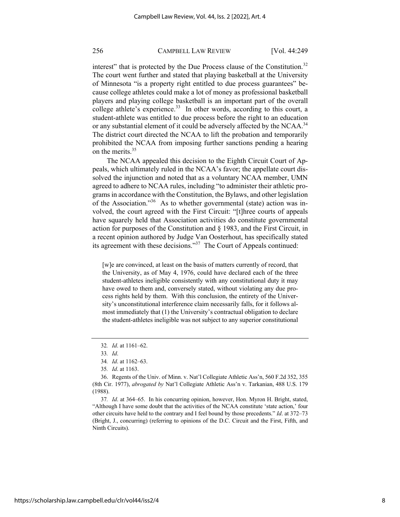interest" that is protected by the Due Process clause of the Constitution.<sup>32</sup> The court went further and stated that playing basketball at the University of Minnesota "is a property right entitled to due process guarantees" because college athletes could make a lot of money as professional basketball players and playing college basketball is an important part of the overall college athlete's experience.<sup>33</sup> In other words, according to this court, a student-athlete was entitled to due process before the right to an education or any substantial element of it could be adversely affected by the NCAA.<sup>34</sup> The district court directed the NCAA to lift the probation and temporarily prohibited the NCAA from imposing further sanctions pending a hearing on the merits.<sup>35</sup>

The NCAA appealed this decision to the Eighth Circuit Court of Appeals, which ultimately ruled in the NCAA's favor; the appellate court dissolved the injunction and noted that as a voluntary NCAA member, UMN agreed to adhere to NCAA rules, including "to administer their athletic programs in accordance with the Constitution, the Bylaws, and other legislation of the Association."<sup>36</sup> As to whether governmental (state) action was involved, the court agreed with the First Circuit: "[t]hree courts of appeals have squarely held that Association activities do constitute governmental action for purposes of the Constitution and § 1983, and the First Circuit, in a recent opinion authored by Judge Van Oosterhout, has specifically stated its agreement with these decisions."37 The Court of Appeals continued:

[w]e are convinced, at least on the basis of matters currently of record, that the University, as of May 4, 1976, could have declared each of the three student-athletes ineligible consistently with any constitutional duty it may have owed to them and, conversely stated, without violating any due process rights held by them. With this conclusion, the entirety of the University's unconstitutional interference claim necessarily falls, for it follows almost immediately that (1) the University's contractual obligation to declare the student-athletes ineligible was not subject to any superior constitutional

<sup>32</sup>*. Id*. at 1161–62.

<sup>33</sup>*. Id*.

<sup>34</sup>*. Id*. at 1162–63.

<sup>35</sup>*. Id*. at 1163.

<sup>36.</sup> Regents of the Univ. of Minn. v. Nat'l Collegiate Athletic Ass'n, 560 F.2d 352, 355 (8th Cir. 1977), *abrogated by* Nat'l Collegiate Athletic Ass'n v. Tarkanian, 488 U.S. 179 (1988).

<sup>37</sup>*. Id*. at 364–65. In his concurring opinion, however, Hon. Myron H. Bright, stated, "Although I have some doubt that the activities of the NCAA constitute 'state action,' four other circuits have held to the contrary and I feel bound by those precedents." *Id*. at 372–73 (Bright, J., concurring) (referring to opinions of the D.C. Circuit and the First, Fifth, and Ninth Circuits).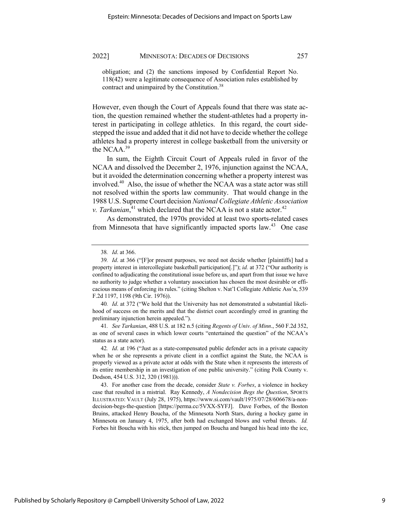obligation; and (2) the sanctions imposed by Confidential Report No. 118(42) were a legitimate consequence of Association rules established by contract and unimpaired by the Constitution.<sup>38</sup>

However, even though the Court of Appeals found that there was state action, the question remained whether the student-athletes had a property interest in participating in college athletics. In this regard, the court sidestepped the issue and added that it did not have to decide whether the college athletes had a property interest in college basketball from the university or the NCAA.<sup>39</sup>

In sum, the Eighth Circuit Court of Appeals ruled in favor of the NCAA and dissolved the December 2, 1976, injunction against the NCAA, but it avoided the determination concerning whether a property interest was involved.40 Also, the issue of whether the NCAA was a state actor was still not resolved within the sports law community. That would change in the 1988 U.S. Supreme Court decision *National Collegiate Athletic Association*  v. Tarkanian,<sup>41</sup> which declared that the NCAA is not a state actor.<sup>42</sup>

As demonstrated, the 1970s provided at least two sports-related cases from Minnesota that have significantly impacted sports law.<sup>43</sup> One case

40*. Id*. at 372 ("We hold that the University has not demonstrated a substantial likelihood of success on the merits and that the district court accordingly erred in granting the preliminary injunction herein appealed.").

41*. See Tarkanian*, 488 U.S. at 182 n.5 (citing *Regents of Univ. of Minn*., 560 F.2d 352, as one of several cases in which lower courts "entertained the question" of the NCAA's status as a state actor).

42*. Id*. at 196 ("Just as a state-compensated public defender acts in a private capacity when he or she represents a private client in a conflict against the State, the NCAA is properly viewed as a private actor at odds with the State when it represents the interests of its entire membership in an investigation of one public university." (citing Polk County v. Dodson, 454 U.S. 312, 320 (1981))).

43. For another case from the decade, consider *State v. Forbes*, a violence in hockey case that resulted in a mistrial. Ray Kennedy, *A Nondecision Begs the Question*, SPORTS ILLUSTRATED: VAULT (July 28, 1975), https://www.si.com/vault/1975/07/28/606678/a-nondecision-begs-the-question [https://perma.cc/5VXX-SYFJ]. Dave Forbes, of the Boston Bruins, attacked Henry Boucha, of the Minnesota North Stars, during a hockey game in Minnesota on January 4, 1975, after both had exchanged blows and verbal threats. *Id.* Forbes hit Boucha with his stick, then jumped on Boucha and banged his head into the ice,

<sup>38</sup>*. Id*. at 366.

<sup>39</sup>*. Id*. at 366 ("[F]or present purposes, we need not decide whether [plaintiffs] had a property interest in intercollegiate basketball participation[.]"); *id.* at 372 ("Our authority is confined to adjudicating the constitutional issue before us, and apart from that issue we have no authority to judge whether a voluntary association has chosen the most desirable or efficacious means of enforcing its rules." (citing Shelton v. Nat'l Collegiate Athletic Ass'n, 539 F.2d 1197, 1198 (9th Cir. 1976)).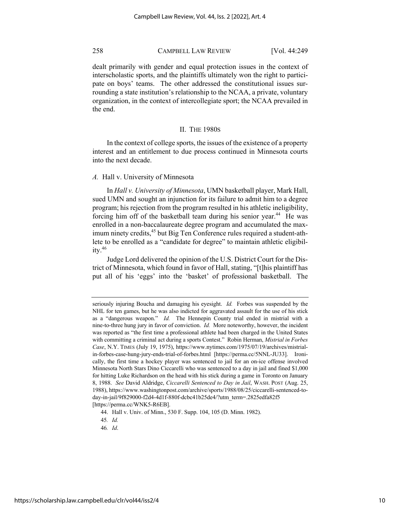dealt primarily with gender and equal protection issues in the context of interscholastic sports, and the plaintiffs ultimately won the right to participate on boys' teams. The other addressed the constitutional issues surrounding a state institution's relationship to the NCAA, a private, voluntary organization, in the context of intercollegiate sport; the NCAA prevailed in the end.

#### II. THE 1980S

In the context of college sports, the issues of the existence of a property interest and an entitlement to due process continued in Minnesota courts into the next decade.

## *A.* Hall v. University of Minnesota

In *Hall v. University of Minnesota*, UMN basketball player, Mark Hall, sued UMN and sought an injunction for its failure to admit him to a degree program; his rejection from the program resulted in his athletic ineligibility, forcing him off of the basketball team during his senior year.<sup>44</sup> He was enrolled in a non-baccalaureate degree program and accumulated the maximum ninety credits,<sup>45</sup> but Big Ten Conference rules required a student-athlete to be enrolled as a "candidate for degree" to maintain athletic eligibility. $46$ 

Judge Lord delivered the opinion of the U.S. District Court for the District of Minnesota, which found in favor of Hall, stating, "[t]his plaintiff has put all of his 'eggs' into the 'basket' of professional basketball. The

seriously injuring Boucha and damaging his eyesight. *Id.* Forbes was suspended by the NHL for ten games, but he was also indicted for aggravated assault for the use of his stick as a "dangerous weapon." *Id.* The Hennepin County trial ended in mistrial with a nine-to-three hung jury in favor of conviction. *Id.* More noteworthy, however, the incident was reported as "the first time a professional athlete had been charged in the United States with committing a criminal act during a sports Contest." Robin Herman, *Mistrial in Forbes Case*, N.Y. TIMES (July 19, 1975), https://www.nytimes.com/1975/07/19/archives/mistrialin-forbes-case-hung-jury-ends-trial-of-forbes.html [https://perma.cc/5NNL-JU33]. Ironically, the first time a hockey player was sentenced to jail for an on-ice offense involved Minnesota North Stars Dino Ciccarelli who was sentenced to a day in jail and fined \$1,000 for hitting Luke Richardson on the head with his stick during a game in Toronto on January 8, 1988. *See* David Aldridge, *Ciccarelli Sentenced to Day in Jail*, WASH. POST (Aug. 25, 1988), https://www.washingtonpost.com/archive/sports/1988/08/25/ciccarelli-sentenced-today-in-jail/9f829000-f2d4-4d1f-880f-dcbc41b25de4/?utm\_term=.2825edfa82f5 [https://perma.cc/WNK5-R6EB].

<sup>44.</sup> Hall v. Univ. of Minn., 530 F. Supp. 104, 105 (D. Minn. 1982).

<sup>45</sup>*. Id.*

<sup>46</sup>*. Id*.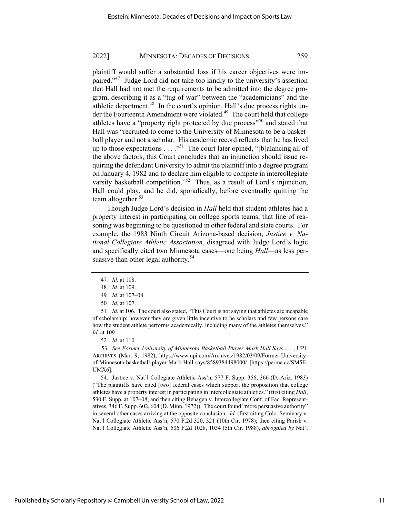plaintiff would suffer a substantial loss if his career objectives were impaired."<sup>47</sup> Judge Lord did not take too kindly to the university's assertion that Hall had not met the requirements to be admitted into the degree program, describing it as a "tug of war" between the "academicians" and the athletic department.<sup>48</sup> In the court's opinion, Hall's due process rights under the Fourteenth Amendment were violated.<sup>49</sup> The court held that college athletes have a "property right protected by due process"<sup>50</sup> and stated that Hall was "recruited to come to the University of Minnesota to be a basketball player and not a scholar. His academic record reflects that he has lived up to those expectations  $\dots$  ."<sup>51</sup> The court later opined, "[b]alancing all of the above factors, this Court concludes that an injunction should issue requiring the defendant University to admit the plaintiff into a degree program on January 4, 1982 and to declare him eligible to compete in intercollegiate varsity basketball competition."<sup>52</sup> Thus, as a result of Lord's injunction, Hall could play, and he did, sporadically, before eventually quitting the team altogether. $53$ 

Though Judge Lord's decision in *Hall* held that student-athletes had a property interest in participating on college sports teams, that line of reasoning was beginning to be questioned in other federal and state courts. For example, the 1983 Ninth Circuit Arizona-based decision, *Justice v. National Collegiate Athletic Association*, disagreed with Judge Lord's logic and specifically cited two Minnesota cases—one being *Hall*—as less persuasive than other legal authority. $54$ 

52*. Id*. at 110.

53*. See Former University of Minnesota Basketball Player Mark Hall Says* . . . , UPI: ARCHIVES (Mar. 9, 1982), https://www.upi.com/Archives/1982/03/09/Former-Universityof-Minnesota-basketball-player-Mark-Hall-says/8589384498000/ [https://perma.cc/SM5E-UMX6].

54. Justice v. Nat'l Collegiate Athletic Ass'n, 577 F. Supp. 356, 366 (D. Ariz. 1983) ("The plaintiffs have cited [two] federal cases which support the proposition that college athletes have a property interest in participating in intercollegiate athletics." (first citing *Hall*, 530 F. Supp. at 107–08; and then citing Behagen v. Intercollegiate Conf. of Fac. Representatives, 346 F. Supp. 602, 604 (D. Minn. 1972)). The court found "more persuasive authority" in several other cases arriving at the opposite conclusion. *Id.* (first citing Colo. Seminary v. Nat'l Collegiate Athletic Ass'n, 570 F.2d 320, 321 (10th Cir. 1978); then citing Parish v. Nat'l Collegiate Athletic Ass'n, 506 F.2d 1028, 1034 (5th Cir. 1988), *abrogated by* Nat'l

<sup>47</sup>*. Id*. at 108.

<sup>48</sup>*. Id*. at 109.

<sup>49</sup>*. Id*. at 107–08.

<sup>50</sup>*. Id*. at 107.

<sup>51</sup>*. Id*. at 106. The court also stated, "This Court is not saying that athletes are incapable of scholarship; however they are given little incentive to be scholars and few persons care how the student athlete performs academically, including many of the athletes themselves." *Id*. at 109.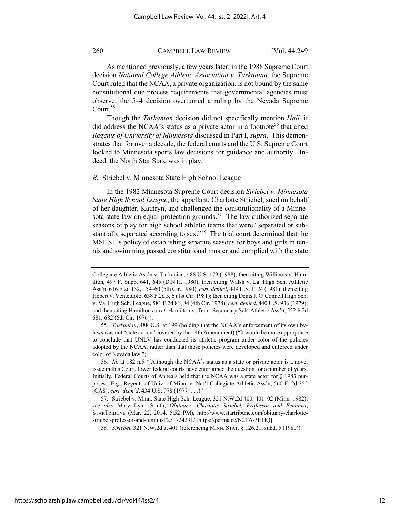As mentioned previously, a few years later, in the 1988 Supreme Court decision *National College Athletic Association v. Tarkanian*, the Supreme Court ruled that the NCAA, a private organization, is not bound by the same constitutional due process requirements that governmental agencies must observe; the 5–4 decision overturned a ruling by the Nevada Supreme Court.<sup>55</sup>

Though the *Tarkanian* decision did not specifically mention *Hall*, it did address the NCAA's status as a private actor in a footnote<sup>56</sup> that cited *Regents of University of Minnesota* discussed in Part I, *supra*. This demonstrates that for over a decade, the federal courts and the U.S. Supreme Court looked to Minnesota sports law decisions for guidance and authority. Indeed, the North Star State was in play.

#### *B.* Striebel v. Minnesota State High School League

In the 1982 Minnesota Supreme Court decision *Striebel v. Minnesota State High School League*, the appellant, Charlotte Striebel, sued on behalf of her daughter, Kathryn, and challenged the constitutionality of a Minnesota state law on equal protection grounds.<sup>57</sup> The law authorized separate seasons of play for high school athletic teams that were "separated or substantially separated according to sex."<sup>58</sup> The trial court determined that the MSHSL's policy of establishing separate seasons for boys and girls in tennis and swimming passed constitutional muster and complied with the state

Collegiate Athletic Ass'n v. Tarkanian, 488 U.S. 179 (1988); then citing Williams v. Hamilton, 497 F. Supp. 641, 645 (D.N.H. 1980); then citing Walsh v. La. High Sch. Athletic Ass'n, 616 F.2d 152, 159–60 (5th Cir. 1980), *cert. denied*, 449 U.S. 1124 (1981); then citing Hebert v. Ventetuolo, 638 F.2d 5, 6 (1st Cir. 1981); then citing Denis J. O'Connell High Sch. v. Va. High Sch. League, 581 F.2d 81, 84 (4th Cir. 1978), *cert. denied*, 440 U.S. 936 (1979); and then citing Hamilton *ex rel.* Hamilton v. Tenn. Secondary Sch. Athletic Ass'n, 552 F.2d 681, 682 (6th Cir. 1976)).

<sup>55</sup>*. Tarkanian*, 488 U.S. at 199 (holding that the NCAA's enforcement of its own bylaws was not "state action" covered by the 14th Amendment) ("It would be more appropriate to conclude that UNLV has conducted its athletic program under color of the policies adopted by the NCAA, rather than that those policies were developed and enforced under color of Nevada law.").

<sup>56</sup>*. Id*. at 182 n.5 ("Although the NCAA's status as a state or private actor is a novel issue in this Court, lower federal courts have entertained the question for a number of years. Initially, Federal Courts of Appeals held that the NCAA was a state actor for § 1983 purposes. E.g., Regents of Univ. of Minn. v. Nat'l Collegiate Athletic Ass'n, 560 F. 2d 352 (CA8), *cert. dism'd*, 434 U.S. 978 (1977) . . .)"

<sup>57.</sup> Striebel v. Minn. State High Sch. League, 321 N.W.2d 400, 401–02 (Minn. 1982); *see also* Mary Lynn Smith, *Obituary: Charlotte Striebel, Professor and Feminist*, STARTRIBUNE (Mar. 22, 2014, 5:52 PM), http://www.startribune.com/obituary-charlottestriebel-professor-and-feminist/251724291/ [https://perma.cc/N2TA-3HHQ].

<sup>58</sup>*. Striebel*, 321 N.W.2d at 401 (referencing MINN. STAT. § 126.21, subd. 5 (1980)).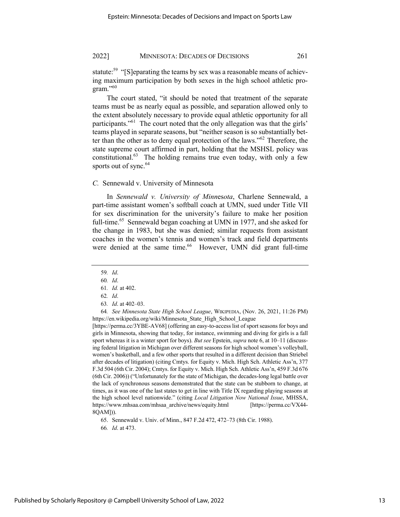statute:<sup>59</sup> "[S]eparating the teams by sex was a reasonable means of achieving maximum participation by both sexes in the high school athletic program."<sup>60</sup>

The court stated, "it should be noted that treatment of the separate teams must be as nearly equal as possible, and separation allowed only to the extent absolutely necessary to provide equal athletic opportunity for all participants."<sup>61</sup> The court noted that the only allegation was that the girls' teams played in separate seasons, but "neither season is so substantially better than the other as to deny equal protection of the laws."62 Therefore, the state supreme court affirmed in part, holding that the MSHSL policy was constitutional. $63$  The holding remains true even today, with only a few sports out of sync.<sup>64</sup>

## *C.* Sennewald v. University of Minnesota

In *Sennewald v. University of Minn*es*ota*, Charlene Sennewald, a part-time assistant women's softball coach at UMN, sued under Title VII for sex discrimination for the university's failure to make her position full-time.<sup>65</sup> Sennewald began coaching at UMN in 1977, and she asked for the change in 1983, but she was denied; similar requests from assistant coaches in the women's tennis and women's track and field departments were denied at the same time.<sup>66</sup> However, UMN did grant full-time

64*. See Minnesota State High School League*, WIKIPEDIA, (Nov. 26, 2021, 11:26 PM) https://en.wikipedia.org/wiki/Minnesota\_State\_High\_School\_League

[https://perma.cc/3YBE-AV68] (offering an easy-to-access list of sport seasons for boys and girls in Minnesota, showing that today, for instance, swimming and diving for girls is a fall sport whereas it is a winter sport for boys). *But see* Epstein, *supra* note 6, at 10–11 (discussing federal litigation in Michigan over different seasons for high school women's volleyball, women's basketball, and a few other sports that resulted in a different decision than Striebel after decades of litigation) (citing Cmtys. for Equity v. Mich. High Sch. Athletic Ass'n, 377 F.3d 504 (6th Cir. 2004); Cmtys. for Equity v. Mich. High Sch. Athletic Ass'n, 459 F.3d 676 (6th Cir. 2006)) ("Unfortunately for the state of Michigan, the decades-long legal battle over the lack of synchronous seasons demonstrated that the state can be stubborn to change, at times, as it was one of the last states to get in line with Title IX regarding playing seasons at the high school level nationwide." (citing *Local Litigation Now National Issue*, MHSSA, https://www.mhsaa.com/mhsaa\_archive/news/equity.html [https://perma.cc/VX44- 8QAM])).

65. Sennewald v. Univ. of Minn., 847 F.2d 472, 472–73 (8th Cir. 1988).

<sup>59</sup>*. Id*.

<sup>60</sup>*. Id*.

<sup>61</sup>*. Id.* at 402.

<sup>62</sup>*. Id*.

<sup>63</sup>*. Id*. at 402–03.

<sup>66</sup>*. Id*. at 473.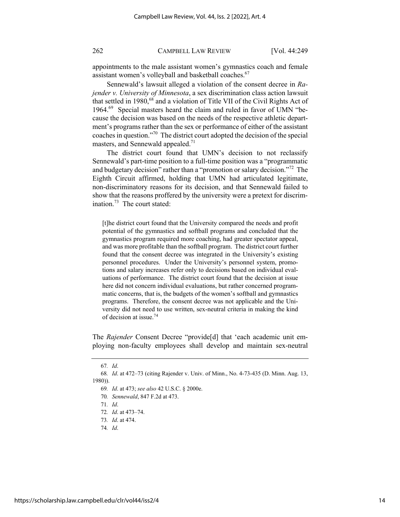appointments to the male assistant women's gymnastics coach and female assistant women's volleyball and basketball coaches.<sup>67</sup>

Sennewald's lawsuit alleged a violation of the consent decree in *Rajender v. University of Minnesota*, a sex discrimination class action lawsuit that settled in 1980,<sup>68</sup> and a violation of Title VII of the Civil Rights Act of 1964.69 Special masters heard the claim and ruled in favor of UMN "because the decision was based on the needs of the respective athletic department's programs rather than the sex or performance of either of the assistant coaches in question."70 The district court adopted the decision of the special masters, and Sennewald appealed.<sup>71</sup>

The district court found that UMN's decision to not reclassify Sennewald's part-time position to a full-time position was a "programmatic and budgetary decision" rather than a "promotion or salary decision."<sup>72</sup> The Eighth Circuit affirmed, holding that UMN had articulated legitimate, non-discriminatory reasons for its decision, and that Sennewald failed to show that the reasons proffered by the university were a pretext for discrimination.<sup>73</sup> The court stated:

[t]he district court found that the University compared the needs and profit potential of the gymnastics and softball programs and concluded that the gymnastics program required more coaching, had greater spectator appeal, and was more profitable than the softball program. The district court further found that the consent decree was integrated in the University's existing personnel procedures. Under the University's personnel system, promotions and salary increases refer only to decisions based on individual evaluations of performance. The district court found that the decision at issue here did not concern individual evaluations, but rather concerned programmatic concerns, that is, the budgets of the women's softball and gymnastics programs. Therefore, the consent decree was not applicable and the University did not need to use written, sex-neutral criteria in making the kind of decision at issue.74

The *Rajender* Consent Decree "provide[d] that 'each academic unit employing non-faculty employees shall develop and maintain sex-neutral

<sup>67</sup>*. Id*.

<sup>68</sup>*. Id*. at 472–73 (citing Rajender v. Univ. of Minn., No. 4-73-435 (D. Minn. Aug. 13, 1980)).

<sup>69</sup>*. Id*. at 473; *see also* 42 U.S.C. § 2000e.

<sup>70</sup>*. Sennewald*, 847 F.2d at 473.

<sup>71</sup>*. Id*.

<sup>72</sup>*. Id*. at 473–74.

<sup>73</sup>*. Id*. at 474.

<sup>74</sup>*. Id*.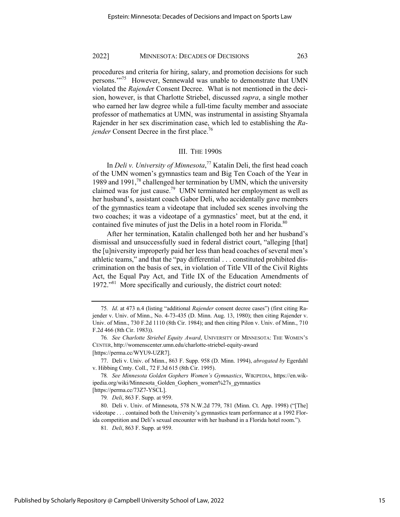procedures and criteria for hiring, salary, and promotion decisions for such persons."<sup>75</sup> However, Sennewald was unable to demonstrate that UMN violated the *Rajende*r Consent Decree. What is not mentioned in the decision, however, is that Charlotte Striebel, discussed *supra*, a single mother who earned her law degree while a full-time faculty member and associate professor of mathematics at UMN, was instrumental in assisting Shyamala Rajender in her sex discrimination case, which led to establishing the *Rajender* Consent Decree in the first place.<sup>76</sup>

## III. THE 1990S

In *Deli v. University of Minnesota*, <sup>77</sup> Katalin Deli, the first head coach of the UMN women's gymnastics team and Big Ten Coach of the Year in 1989 and 1991,<sup>78</sup> challenged her termination by UMN, which the university claimed was for just cause.<sup>79</sup> UMN terminated her employment as well as her husband's, assistant coach Gabor Deli, who accidentally gave members of the gymnastics team a videotape that included sex scenes involving the two coaches; it was a videotape of a gymnastics' meet, but at the end, it contained five minutes of just the Delis in a hotel room in Florida.<sup>80</sup>

After her termination, Katalin challenged both her and her husband's dismissal and unsuccessfully sued in federal district court, "alleging [that] the [u]niversity improperly paid her less than head coaches of several men's athletic teams," and that the "pay differential . . . constituted prohibited discrimination on the basis of sex, in violation of Title VII of the Civil Rights Act, the Equal Pay Act, and Title IX of the Education Amendments of 1972."<sup>81</sup> More specifically and curiously, the district court noted:

<sup>75</sup>*. Id*. at 473 n.4 (listing "additional *Rajender* consent decree cases") (first citing Rajender v. Univ. of Minn., No. 4-73-435 (D. Minn. Aug. 13, 1980); then citing Rajender v. Univ. of Minn., 730 F.2d 1110 (8th Cir. 1984); and then citing Pilon v. Univ. of Minn., 710 F.2d 466 (8th Cir. 1983)).

<sup>76</sup>*. See Charlotte Striebel Equity Award*, UNIVERSITY OF MINNESOTA: THE WOMEN'S CENTER, http://womenscenter.umn.edu/charlotte-striebel-equity-award [https://perma.cc/WYU9-UZR7].

<sup>77.</sup> Deli v. Univ. of Minn., 863 F. Supp. 958 (D. Minn. 1994), *abrogated by* Egerdahl v. Hibbing Cmty. Coll., 72 F.3d 615 (8th Cir. 1995).

<sup>78</sup>*. See Minnesota Golden Gophers Women's Gymnastics*, WIKIPEDIA, https://en.wikipedia.org/wiki/Minnesota\_Golden\_Gophers\_women%27s\_gymnastics [https://perma.cc/73Z7-YSCL].

<sup>79</sup>*. Deli*, 863 F. Supp. at 959.

<sup>80.</sup> Deli v. Univ. of Minnesota, 578 N.W.2d 779, 781 (Minn. Ct. App. 1998) ("[The] videotape . . . contained both the University's gymnastics team performance at a 1992 Florida competition and Deli's sexual encounter with her husband in a Florida hotel room.").

<sup>81</sup>*. Deli*, 863 F. Supp. at 959.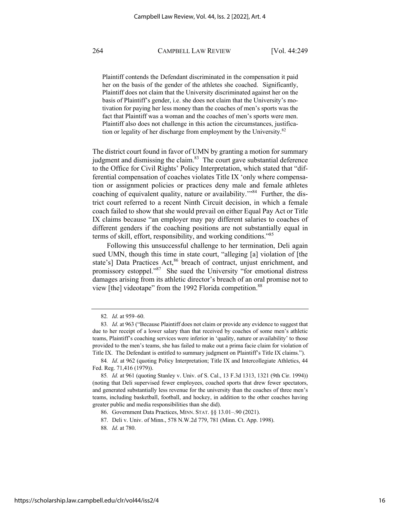Plaintiff contends the Defendant discriminated in the compensation it paid her on the basis of the gender of the athletes she coached. Significantly, Plaintiff does not claim that the University discriminated against her on the basis of Plaintiff's gender, i.e. she does not claim that the University's motivation for paying her less money than the coaches of men's sports was the fact that Plaintiff was a woman and the coaches of men's sports were men. Plaintiff also does not challenge in this action the circumstances, justification or legality of her discharge from employment by the University.82

The district court found in favor of UMN by granting a motion for summary judgment and dismissing the claim. $83$  The court gave substantial deference to the Office for Civil Rights' Policy Interpretation, which stated that "differential compensation of coaches violates Title IX 'only where compensation or assignment policies or practices deny male and female athletes coaching of equivalent quality, nature or availability."<sup>84</sup> Further, the district court referred to a recent Ninth Circuit decision, in which a female coach failed to show that she would prevail on either Equal Pay Act or Title IX claims because "an employer may pay different salaries to coaches of different genders if the coaching positions are not substantially equal in terms of skill, effort, responsibility, and working conditions."<sup>85</sup>

Following this unsuccessful challenge to her termination, Deli again sued UMN, though this time in state court, "alleging [a] violation of [the state's] Data Practices Act,<sup>86</sup> breach of contract, unjust enrichment, and promissory estoppel."87 She sued the University "for emotional distress damages arising from its athletic director's breach of an oral promise not to view [the] videotape" from the 1992 Florida competition.<sup>88</sup>

<sup>82</sup>*. Id*. at 959–60.

<sup>83</sup>*. Id*. at 963 ("Because Plaintiff does not claim or provide any evidence to suggest that due to her receipt of a lower salary than that received by coaches of some men's athletic teams, Plaintiff's coaching services were inferior in 'quality, nature or availability' to those provided to the men's teams, she has failed to make out a prima facie claim for violation of Title IX. The Defendant is entitled to summary judgment on Plaintiff's Title IX claims.").

<sup>84</sup>*. Id*. at 962 (quoting Policy Interpretation; Title IX and Intercollegiate Athletics, 44 Fed. Reg. 71,416 (1979)).

<sup>85</sup>*. Id.* at 961 (quoting Stanley v. Univ. of S. Cal., 13 F.3d 1313, 1321 (9th Cir. 1994)) (noting that Deli supervised fewer employees, coached sports that drew fewer spectators, and generated substantially less revenue for the university than the coaches of three men's teams, including basketball, football, and hockey, in addition to the other coaches having greater public and media responsibilities than she did).

<sup>86.</sup> Government Data Practices, MINN. STAT. §§ 13.01–.90 (2021).

<sup>87.</sup> Deli v. Univ. of Minn., 578 N.W.2d 779, 781 (Minn. Ct. App. 1998).

<sup>88</sup>*. Id*. at 780.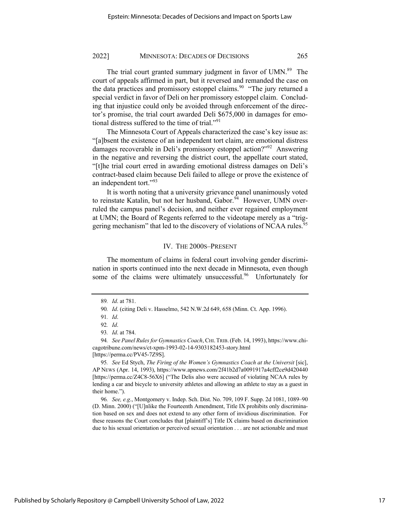The trial court granted summary judgment in favor of UMN.<sup>89</sup> The court of appeals affirmed in part, but it reversed and remanded the case on the data practices and promissory estoppel claims.<sup>90</sup> "The jury returned a special verdict in favor of Deli on her promissory estoppel claim. Concluding that injustice could only be avoided through enforcement of the director's promise, the trial court awarded Deli \$675,000 in damages for emotional distress suffered to the time of trial."<sup>91</sup>

The Minnesota Court of Appeals characterized the case's key issue as: "[a]bsent the existence of an independent tort claim, are emotional distress damages recoverable in Deli's promissory estoppel action?"<sup>92</sup> Answering in the negative and reversing the district court, the appellate court stated, "[t]he trial court erred in awarding emotional distress damages on Deli's contract-based claim because Deli failed to allege or prove the existence of an independent tort."<sup>93</sup>

It is worth noting that a university grievance panel unanimously voted to reinstate Katalin, but not her husband, Gabor.<sup>94</sup> However, UMN overruled the campus panel's decision, and neither ever regained employment at UMN; the Board of Regents referred to the videotape merely as a "triggering mechanism" that led to the discovery of violations of NCAA rules.<sup>95</sup>

#### IV. THE 2000S–PRESENT

The momentum of claims in federal court involving gender discrimination in sports continued into the next decade in Minnesota, even though some of the claims were ultimately unsuccessful.<sup>96</sup> Unfortunately for

95*. See* Ed Stych, *The Firing of the Women's Gymnastics Coach at the Universit* [sic], AP NEWS (Apr. 14, 1993), https://www.apnews.com/2f41b2d7a0091917a4cff2ce9d420440 [https://perma.cc/Z4C8-56X6] ("The Delis also were accused of violating NCAA rules by lending a car and bicycle to university athletes and allowing an athlete to stay as a guest in their home.").

96*. See, e.g*., Montgomery v. Indep. Sch. Dist. No. 709, 109 F. Supp. 2d 1081, 1089–90 (D. Minn. 2000) ("[U]nlike the Fourteenth Amendment, Title IX prohibits only discrimination based on sex and does not extend to any other form of invidious discrimination. For these reasons the Court concludes that [plaintiff's] Title IX claims based on discrimination due to his sexual orientation or perceived sexual orientation . . . are not actionable and must

<sup>89</sup>*. Id*. at 781.

<sup>90</sup>*. Id*. (citing Deli v. Hasselmo, 542 N.W.2d 649, 658 (Minn. Ct. App. 1996).

<sup>91</sup>*. Id*.

<sup>92</sup>*. Id*.

<sup>93</sup>*. Id*. at 784.

<sup>94</sup>*. See Panel Rules for Gymnastics Coach*, CHI.TRIB.(Feb. 14, 1993), https://www.chicagotribune.com/news/ct-xpm-1993-02-14-9303182453-story.html [https://perma.cc/PV45-7Z9S].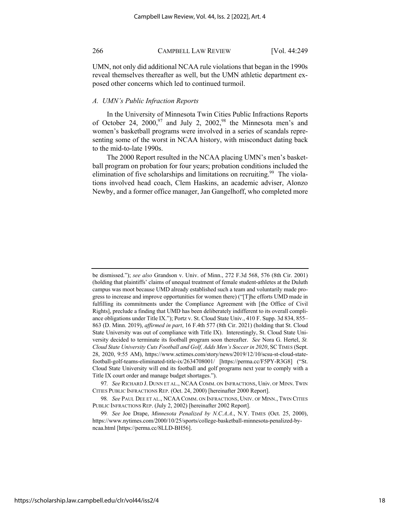UMN, not only did additional NCAA rule violations that began in the 1990s reveal themselves thereafter as well, but the UMN athletic department exposed other concerns which led to continued turmoil.

### *A. UMN's Public Infraction Reports*

In the University of Minnesota Twin Cities Public Infractions Reports of October 24, 2000,<sup>97</sup> and July 2, 2002,<sup>98</sup> the Minnesota men's and women's basketball programs were involved in a series of scandals representing some of the worst in NCAA history, with misconduct dating back to the mid-to-late 1990s.

The 2000 Report resulted in the NCAA placing UMN's men's basketball program on probation for four years; probation conditions included the elimination of five scholarships and limitations on recruiting.<sup>99</sup> The violations involved head coach, Clem Haskins, an academic adviser, Alonzo Newby, and a former office manager, Jan Gangelhoff, who completed more

be dismissed."); *see also* Grandson v. Univ. of Minn., 272 F.3d 568, 576 (8th Cir. 2001) (holding that plaintiffs' claims of unequal treatment of female student-athletes at the Duluth campus was moot because UMD already established such a team and voluntarily made progress to increase and improve opportunities for women there) ("[T]he efforts UMD made in fulfilling its commitments under the Compliance Agreement with [the Office of Civil Rights], preclude a finding that UMD has been deliberately indifferent to its overall compliance obligations under Title IX."); Portz v. St. Cloud State Univ., 410 F. Supp. 3d 834, 855– 863 (D. Minn. 2019), *affirmed in part*, 16 F.4th 577 (8th Cir. 2021) (holding that St. Cloud State University was out of compliance with Title IX). Interestingly, St. Cloud State University decided to terminate its football program soon thereafter. *See* Nora G. Hertel, *St. Cloud State University Cuts Football and Golf, Adds Men's Soccer in 2020*, SCTIMES (Sept. 28, 2020, 9:55 AM), https://www.sctimes.com/story/news/2019/12/10/scsu-st-cloud-statefootball-golf-teams-eliminated-title-ix/2634708001/ [https://perma.cc/F5PY-R3G8] ("St. Cloud State University will end its football and golf programs next year to comply with a Title IX court order and manage budget shortages.").

<sup>97</sup>*. See* RICHARD J. DUNN ET AL., NCAA COMM. ON INFRACTIONS, Univ. OF MINN. TWIN CITIES PUBLIC INFRACTIONS REP. (Oct. 24, 2000) [hereinafter 2000 Report].

<sup>98</sup>*. See* PAUL DEE ET AL., NCAA COMM. ON INFRACTIONS, UNIV. OF MINN., TWIN CITIES PUBLIC INFRACTIONS REP. (July 2, 2002) [hereinafter 2002 Report].

<sup>99</sup>*. See* Joe Drape, *Minnesota Penalized by N.C.A.A*., N.Y. TIMES (Oct. 25, 2000), https://www.nytimes.com/2000/10/25/sports/college-basketball-minnesota-penalized-byncaa.html [https://perma.cc/8LLD-BH56].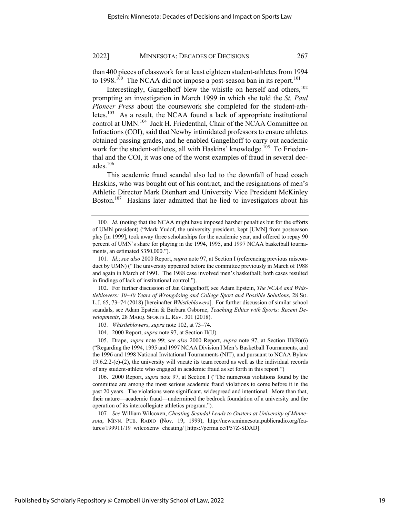than 400 pieces of classwork for at least eighteen student-athletes from 1994 to  $1998$ <sup>100</sup> The NCAA did not impose a post-season ban in its report.<sup>101</sup>

Interestingly, Gangelhoff blew the whistle on herself and others, $102$ prompting an investigation in March 1999 in which she told the *St. Paul Pioneer Press* about the coursework she completed for the student-athletes.<sup>103</sup> As a result, the NCAA found a lack of appropriate institutional control at UMN.<sup>104</sup> Jack H. Friedenthal, Chair of the NCAA Committee on Infractions (COI), said that Newby intimidated professors to ensure athletes obtained passing grades, and he enabled Gangelhoff to carry out academic work for the student-athletes, all with Haskins' knowledge.<sup>105</sup> To Friedenthal and the COI, it was one of the worst examples of fraud in several decades. $106$ 

This academic fraud scandal also led to the downfall of head coach Haskins, who was bought out of his contract, and the resignations of men's Athletic Director Mark Dienhart and University Vice President McKinley Boston.<sup>107</sup> Haskins later admitted that he lied to investigators about his

102. For further discussion of Jan Gangelhoff, see Adam Epstein, *The NCAA and Whistleblowers: 30–40 Years of Wrongdoing and College Sport and Possible Solutions*, 28 SO. L.J. 65, 73–74 (2018) [hereinafter *Whistleblowers*]. For further discussion of similar school scandals, see Adam Epstein & Barbara Osborne, *Teaching Ethics with Sports: Recent Developments*, 28 MARQ. SPORTS L. REV. 301 (2018).

104. 2000 Report, *supra* note 97, at Section II(U).

105. Drape, *supra* note 99; *see also* 2000 Report, *supra* note 97, at Section III(B)(6) ("Regarding the 1994, 1995 and 1997 NCAA Division I Men's Basketball Tournaments, and the 1996 and 1998 National Invitational Tournaments (NIT), and pursuant to NCAA Bylaw 19.6.2.2-(e)-(2), the university will vacate its team record as well as the individual records of any student-athlete who engaged in academic fraud as set forth in this report.")

106. 2000 Report, *supra* note 97, at Section I ("The numerous violations found by the committee are among the most serious academic fraud violations to come before it in the past 20 years. The violations were significant, widespread and intentional. More than that, their nature—academic fraud—undermined the bedrock foundation of a university and the operation of its intercollegiate athletics program.").

107*. See* William Wilcoxen, *Cheating Scandal Leads to Ousters at University of Minnesota*, MINN. PUB. RADIO (Nov. 19, 1999), http://news.minnesota.publicradio.org/features/199911/19\_wilcoxenw\_cheating/ [https://perma.cc/P57Z-SDAD].

<sup>100</sup>*. Id*. (noting that the NCAA might have imposed harsher penalties but for the efforts of UMN president) ("Mark Yudof, the university president, kept [UMN] from postseason play [in 1999], took away three scholarships for the academic year, and offered to repay 90 percent of UMN's share for playing in the 1994, 1995, and 1997 NCAA basketball tournaments, an estimated \$350,000.").

<sup>101</sup>*. Id*.; *see also* 2000 Report, *supra* note 97, at Section I (referencing previous misconduct by UMN) ("The university appeared before the committee previously in March of 1988 and again in March of 1991. The 1988 case involved men's basketball; both cases resulted in findings of lack of institutional control.").

<sup>103</sup>*. Whistleblowers*, *supra* note 102, at 73–74.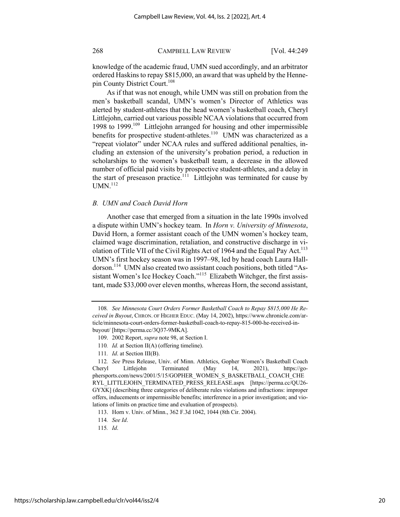knowledge of the academic fraud, UMN sued accordingly, and an arbitrator ordered Haskins to repay \$815,000, an award that was upheld by the Hennepin County District Court.108

As if that was not enough, while UMN was still on probation from the men's basketball scandal, UMN's women's Director of Athletics was alerted by student-athletes that the head women's basketball coach, Cheryl Littlejohn, carried out various possible NCAA violations that occurred from 1998 to 1999.<sup>109</sup> Littlejohn arranged for housing and other impermissible benefits for prospective student-athletes.<sup>110</sup> UMN was characterized as a "repeat violator" under NCAA rules and suffered additional penalties, including an extension of the university's probation period, a reduction in scholarships to the women's basketball team, a decrease in the allowed number of official paid visits by prospective student-athletes, and a delay in the start of preseason practice.<sup>111</sup> Littlejohn was terminated for cause by  $UMN.<sup>112</sup>$ 

## *B. UMN and Coach David Horn*

Another case that emerged from a situation in the late 1990s involved a dispute within UMN's hockey team. In *Horn v. University of Minnesota*, David Horn, a former assistant coach of the UMN women's hockey team, claimed wage discrimination, retaliation, and constructive discharge in violation of Title VII of the Civil Rights Act of 1964 and the Equal Pay Act.<sup>113</sup> UMN's first hockey season was in 1997–98, led by head coach Laura Halldorson.<sup>114</sup> UMN also created two assistant coach positions, both titled "Assistant Women's Ice Hockey Coach."<sup>115</sup> Elizabeth Witchger, the first assistant, made \$33,000 over eleven months, whereas Horn, the second assistant,

111*. Id*. at Section III(B).

<sup>108</sup>*. See Minnesota Court Orders Former Basketball Coach to Repay \$815,000 He Received in Buyout*, CHRON. OF HIGHER EDUC. (May 14, 2002), https://www.chronicle.com/article/minnesota-court-orders-former-basketball-coach-to-repay-815-000-he-received-inbuyout/ [https://perma.cc/3Q37-9MKA].

<sup>109.</sup> 2002 Report, *supra* note 98, at Section I.

<sup>110</sup>*. Id.* at Section II(A) (offering timeline).

<sup>112</sup>*. See* Press Release, Univ. of Minn. Athletics, Gopher Women's Basketball Coach Cheryl Littlejohn Terminated (May 14, 2021), https://gophersports.com/news/2001/5/15/GOPHER\_WOMEN\_S\_BASKETBALL\_COACH\_CHE RYL\_LITTLEJOHN\_TERMINATED\_PRESS\_RELEASE.aspx [https://perma.cc/QU26- GYXK] (describing three categories of deliberate rules violations and infractions: improper offers, inducements or impermissible benefits; interference in a prior investigation; and violations of limits on practice time and evaluation of prospects).

<sup>113.</sup> Horn v. Univ. of Minn., 362 F.3d 1042, 1044 (8th Cir. 2004).

<sup>114</sup>*. See Id*.

<sup>115</sup>*. Id*.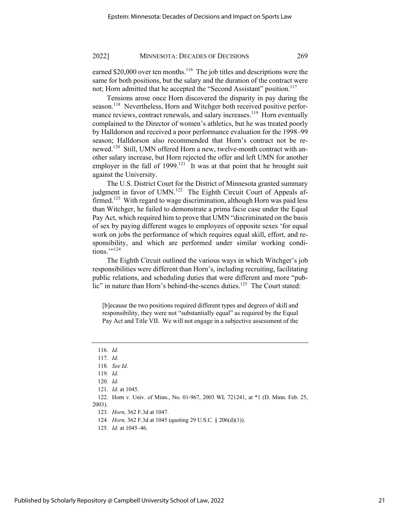earned \$20,000 over ten months.<sup>116</sup> The job titles and descriptions were the same for both positions, but the salary and the duration of the contract were not; Horn admitted that he accepted the "Second Assistant" position.<sup>117</sup>

Tensions arose once Horn discovered the disparity in pay during the season.<sup>118</sup> Nevertheless, Horn and Witchger both received positive performance reviews, contract renewals, and salary increases.<sup>119</sup> Horn eventually complained to the Director of women's athletics, but he was treated poorly by Halldorson and received a poor performance evaluation for the 1998–99 season; Halldorson also recommended that Horn's contract not be renewed.<sup>120</sup> Still, UMN offered Horn a new, twelve-month contract with another salary increase, but Horn rejected the offer and left UMN for another employer in the fall of  $1999$ .<sup>121</sup> It was at that point that he brought suit against the University.

The U.S. District Court for the District of Minnesota granted summary judgment in favor of UMN.<sup>122</sup> The Eighth Circuit Court of Appeals affirmed.<sup>123</sup> With regard to wage discrimination, although Horn was paid less than Witchger, he failed to demonstrate a prima facie case under the Equal Pay Act, which required him to prove that UMN "discriminated on the basis of sex by paying different wages to employees of opposite sexes 'for equal work on jobs the performance of which requires equal skill, effort, and responsibility, and which are performed under similar working conditions.""<sup>124</sup>

The Eighth Circuit outlined the various ways in which Witchger's job responsibilities were different than Horn's, including recruiting, facilitating public relations, and scheduling duties that were different and more "public" in nature than Horn's behind-the-scenes duties.<sup>125</sup> The Court stated:

[b]ecause the two positions required different types and degrees of skill and responsibility, they were not "substantially equal" as required by the Equal Pay Act and Title VII. We will not engage in a subjective assessment of the

<sup>116</sup>*. Id*.

<sup>117</sup>*. Id*.

<sup>118</sup>*. See Id*.

<sup>119</sup>*. Id*.

<sup>120</sup>*. Id*.

<sup>121</sup>*. Id*. at 1045.

<sup>122.</sup> Horn v. Univ. of Minn., No. 01-967, 2003 WL 721241, at \*1 (D. Minn. Feb. 25, 2003).

<sup>123</sup>*. Horn*, 362 F.3d at 1047.

<sup>124</sup>*. Horn,* 362 F.3d at 1045 (quoting 29 U.S.C. § 206(d)(1)).

<sup>125</sup>*. Id*. at 1045–46.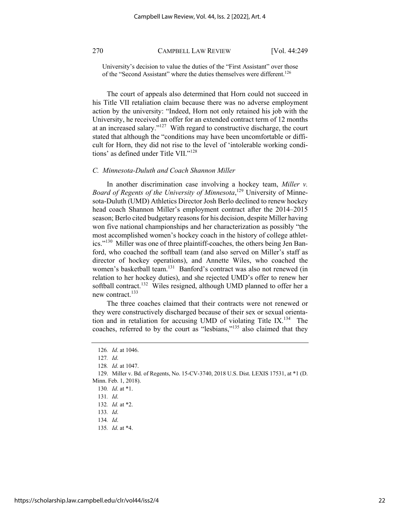University's decision to value the duties of the "First Assistant" over those of the "Second Assistant" where the duties themselves were different.126

The court of appeals also determined that Horn could not succeed in his Title VII retaliation claim because there was no adverse employment action by the university: "Indeed, Horn not only retained his job with the University, he received an offer for an extended contract term of 12 months at an increased salary."127 With regard to constructive discharge, the court stated that although the "conditions may have been uncomfortable or difficult for Horn, they did not rise to the level of 'intolerable working conditions' as defined under Title VII."<sup>128</sup>

#### *C. Minnesota-Duluth and Coach Shannon Miller*

In another discrimination case involving a hockey team, *Miller v. Board of Regents of the University of Minnesota*, <sup>129</sup> University of Minnesota-Duluth (UMD) Athletics Director Josh Berlo declined to renew hockey head coach Shannon Miller's employment contract after the 2014–2015 season; Berlo cited budgetary reasons for his decision, despite Miller having won five national championships and her characterization as possibly "the most accomplished women's hockey coach in the history of college athletics."130 Miller was one of three plaintiff-coaches, the others being Jen Banford, who coached the softball team (and also served on Miller's staff as director of hockey operations), and Annette Wiles, who coached the women's basketball team.<sup>131</sup> Banford's contract was also not renewed (in relation to her hockey duties), and she rejected UMD's offer to renew her softball contract.<sup>132</sup> Wiles resigned, although UMD planned to offer her a new contract.<sup>133</sup>

The three coaches claimed that their contracts were not renewed or they were constructively discharged because of their sex or sexual orientation and in retaliation for accusing UMD of violating Title IX.<sup>134</sup> The coaches, referred to by the court as "lesbians,"135 also claimed that they

<sup>126</sup>*. Id*. at 1046.

<sup>127</sup>*. Id*.

<sup>128</sup>*. Id*. at 1047.

<sup>129.</sup> Miller v. Bd. of Regents, No. 15-CV-3740, 2018 U.S. Dist. LEXIS 17531, at \*1 (D. Minn. Feb. 1, 2018).

<sup>130</sup>*. Id*. at \*1.

<sup>131</sup>*. Id*.

<sup>132</sup>*. Id.* at \*2.

<sup>133</sup>*. Id*.

<sup>134</sup>*. Id*.

<sup>135</sup>*. Id*. at \*4.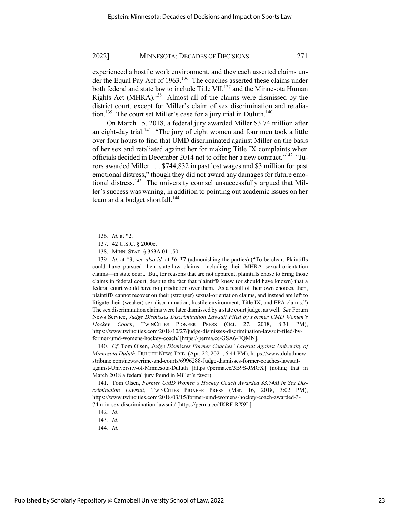experienced a hostile work environment, and they each asserted claims under the Equal Pay Act of  $1963$ <sup>136</sup>. The coaches asserted these claims under both federal and state law to include Title VII,<sup>137</sup> and the Minnesota Human Rights Act (MHRA).<sup>138</sup> Almost all of the claims were dismissed by the district court, except for Miller's claim of sex discrimination and retaliation.<sup>139</sup> The court set Miller's case for a jury trial in Duluth.<sup>140</sup>

On March 15, 2018, a federal jury awarded Miller \$3.74 million after an eight-day trial.<sup>141</sup> "The jury of eight women and four men took a little over four hours to find that UMD discriminated against Miller on the basis of her sex and retaliated against her for making Title IX complaints when officials decided in December 2014 not to offer her a new contract."<sup>142</sup> "Jurors awarded Miller . . . \$744,832 in past lost wages and \$3 million for past emotional distress," though they did not award any damages for future emotional distress.<sup>143</sup> The university counsel unsuccessfully argued that Miller's success was waning, in addition to pointing out academic issues on her team and a budget shortfall.<sup>144</sup>

139*. Id*. at \*3; *see also id.* at \*6–\*7 (admonishing the parties) ("To be clear: Plaintiffs could have pursued their state-law claims—including their MHRA sexual-orientation claims—in state court. But, for reasons that are not apparent, plaintiffs chose to bring those claims in federal court, despite the fact that plaintiffs knew (or should have known) that a federal court would have no jurisdiction over them. As a result of their own choices, then, plaintiffs cannot recover on their (stronger) sexual-orientation claims, and instead are left to litigate their (weaker) sex discrimination, hostile environment, Title IX, and EPA claims.") The sex discrimination claims were later dismissed by a state court judge, as well. *See* Forum News Service, *Judge Dismisses Discrimination Lawsuit Filed by Former UMD Women's Hockey Coach*, TWINCITIES PIONEER PRESS (Oct. 27, 2018, 8:31 PM), https://www.twincities.com/2018/10/27/judge-dismisses-discrimination-lawsuit-filed-byformer-umd-womens-hockey-coach/ [https://perma.cc/GSA6-FQMN].

140*. Cf.* Tom Olsen, *Judge Dismisses Former Coaches' Lawsuit Against University of Minnesota Duluth*, DULUTH NEWS TRIB. (Apr. 22, 2021, 6:44 PM), https://www.duluthnewstribune.com/news/crime-and-courts/6996288-Judge-dismisses-former-coaches-lawsuitagainst-University-of-Minnesota-Duluth [https://perma.cc/3B9S-JMGX] (noting that in March 2018 a federal jury found in Miller's favor).

141. Tom Olsen, *Former UMD Women's Hockey Coach Awarded \$3.74M in Sex Discrimination Lawsuit,* TWINCITIES PIONEER PRESS (Mar. 16, 2018, 3:02 PM), https://www.twincities.com/2018/03/15/former-umd-womens-hockey-coach-awarded-3- 74m-in-sex-discrimination-lawsuit/ [https://perma.cc/4KRF-RX9L].

<sup>136</sup>*. Id*. at \*2.

<sup>137.</sup> 42 U.S.C. § 2000e.

<sup>138.</sup> MINN. STAT. § 363A.01–.50.

<sup>142</sup>*. Id*.

<sup>143</sup>*. Id*.

<sup>144</sup>*. Id*.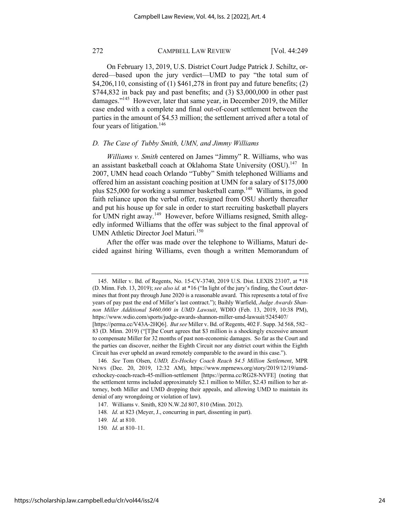On February 13, 2019, U.S. District Court Judge Patrick J. Schiltz, ordered—based upon the jury verdict—UMD to pay "the total sum of \$4,206,110, consisting of (1) \$461,278 in front pay and future benefits; (2) \$744,832 in back pay and past benefits; and (3) \$3,000,000 in other past damages."145 However, later that same year, in December 2019, the Miller case ended with a complete and final out-of-court settlement between the parties in the amount of \$4.53 million; the settlement arrived after a total of four years of litigation.<sup>146</sup>

## *D. The Case of Tubby Smith, UMN, and Jimmy Williams*

*Williams v. Smith* centered on James "Jimmy" R. Williams, who was an assistant basketball coach at Oklahoma State University (OSU).<sup>147</sup> In 2007, UMN head coach Orlando "Tubby" Smith telephoned Williams and offered him an assistant coaching position at UMN for a salary of \$175,000 plus \$25,000 for working a summer basketball camp.<sup>148</sup> Williams, in good faith reliance upon the verbal offer, resigned from OSU shortly thereafter and put his house up for sale in order to start recruiting basketball players for UMN right away.<sup>149</sup> However, before Williams resigned, Smith allegedly informed Williams that the offer was subject to the final approval of UMN Athletic Director Joel Maturi.<sup>150</sup>

After the offer was made over the telephone to Williams, Maturi decided against hiring Williams, even though a written Memorandum of

<sup>145.</sup> Miller v. Bd. of Regents, No. 15-CV-3740, 2019 U.S. Dist. LEXIS 23107, at \*18 (D. Minn. Feb. 13, 2019); *see also id.* at \*16 ("In light of the jury's finding, the Court determines that front pay through June 2020 is a reasonable award. This represents a total of five years of pay past the end of Miller's last contract."); Baihly Warfield, *Judge Awards Shannon Miller Additional \$460,000 in UMD Lawsuit*, WDIO (Feb. 13, 2019, 10:38 PM), https://www.wdio.com/sports/judge-awards-shannon-miller-umd-lawsuit/5245407/

<sup>[</sup>https://perma.cc/V43A-2HQ6]. *But see* Miller v. Bd. of Regents, 402 F. Supp. 3d 568, 582– 83 (D. Minn. 2019) ("[T]he Court agrees that \$3 million is a shockingly excessive amount to compensate Miller for 32 months of past non-economic damages. So far as the Court and the parties can discover, neither the Eighth Circuit nor any district court within the Eighth Circuit has ever upheld an award remotely comparable to the award in this case.").

<sup>146</sup>*. See* Tom Olsen, *UMD, Ex-Hockey Coach Reach \$4.5 Million Settlement*, MPR NEWS (Dec. 20, 2019, 12:32 AM), https://www.mprnews.org/story/2019/12/19/umdexhockey-coach-reach-45-million-settlement [https://perma.cc/RG28-NVFE] (noting that the settlement terms included approximately \$2.1 million to Miller, \$2.43 million to her attorney, both Miller and UMD dropping their appeals, and allowing UMD to maintain its denial of any wrongdoing or violation of law).

<sup>147.</sup> Williams v. Smith, 820 N.W.2d 807, 810 (Minn. 2012).

<sup>148</sup>*. Id*. at 823 (Meyer, J., concurring in part, dissenting in part).

<sup>149</sup>*. Id*. at 810.

<sup>150</sup>*. Id*. at 810–11.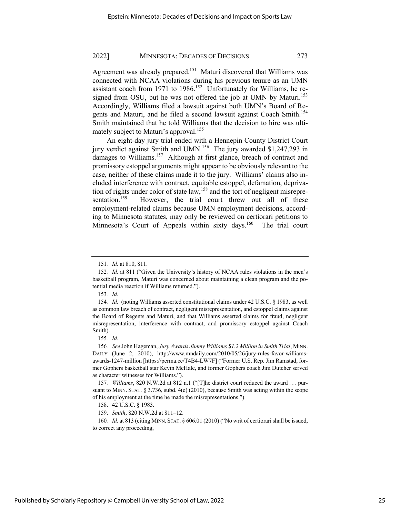Agreement was already prepared.<sup>151</sup> Maturi discovered that Williams was connected with NCAA violations during his previous tenure as an UMN assistant coach from 1971 to 1986.<sup>152</sup> Unfortunately for Williams, he resigned from OSU, but he was not offered the job at UMN by Maturi.<sup>153</sup> Accordingly, Williams filed a lawsuit against both UMN's Board of Regents and Maturi, and he filed a second lawsuit against Coach Smith.<sup>154</sup> Smith maintained that he told Williams that the decision to hire was ultimately subject to Maturi's approval.<sup>155</sup>

An eight-day jury trial ended with a Hennepin County District Court jury verdict against Smith and UMN.<sup>156</sup> The jury awarded \$1,247,293 in damages to Williams.<sup>157</sup> Although at first glance, breach of contract and promissory estoppel arguments might appear to be obviously relevant to the case, neither of these claims made it to the jury. Williams' claims also included interference with contract, equitable estoppel, defamation, deprivation of rights under color of state law,  $158$  and the tort of negligent misrepresentation.<sup>159</sup> However, the trial court threw out all of these employment-related claims because UMN employment decisions, according to Minnesota statutes, may only be reviewed on certiorari petitions to Minnesota's Court of Appeals within sixty days.<sup>160</sup> The trial court

154*. Id*. (noting Williams asserted constitutional claims under 42 U.S.C. § 1983, as well as common law breach of contract, negligent misrepresentation, and estoppel claims against the Board of Regents and Maturi, and that Williams asserted claims for fraud, negligent misrepresentation, interference with contract, and promissory estoppel against Coach Smith).

160*. Id*. at 813 (citing MINN. STAT. § 606.01 (2010) ("No writ of certiorari shall be issued, to correct any proceeding,

<sup>151</sup>*. Id*. at 810, 811.

<sup>152</sup>*. Id*. at 811 ("Given the University's history of NCAA rules violations in the men's basketball program, Maturi was concerned about maintaining a clean program and the potential media reaction if Williams returned.").

<sup>153</sup>*. Id*.

<sup>155</sup>*. Id*.

<sup>156</sup>*. See* John Hageman, *Jury Awards Jimmy Williams \$1.2 Million in Smith Trial*, MINN. DAILY (June 2, 2010), http://www.mndaily.com/2010/05/26/jury-rules-favor-williamsawards-1247-million [https://perma.cc/T4B4-LW7F] ("Former U.S. Rep. Jim Ramstad, former Gophers basketball star Kevin McHale, and former Gophers coach Jim Dutcher served as character witnesses for Williams.").

<sup>157</sup>*. Williams*, 820 N.W.2d at 812 n.1 ("[T]he district court reduced the award . . . pursuant to MINN. STAT.  $\S 3.736$ , subd.  $4(e)$  (2010), because Smith was acting within the scope of his employment at the time he made the misrepresentations.").

<sup>158.</sup> 42 U.S.C. § 1983.

<sup>159.</sup> *Smith*, 820 N.W.2d at 811–12.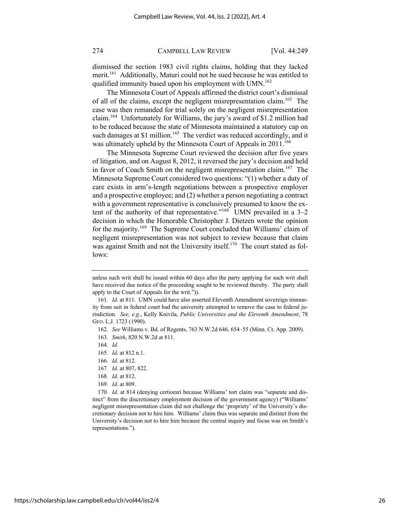dismissed the section 1983 civil rights claims, holding that they lacked merit.<sup>161</sup> Additionally, Maturi could not be sued because he was entitled to qualified immunity based upon his employment with UMN.<sup>162</sup>

The Minnesota Court of Appeals affirmed the district court's dismissal of all of the claims, except the negligent misrepresentation claim.<sup>163</sup> The case was then remanded for trial solely on the negligent misrepresentation claim.164 Unfortunately for Williams, the jury's award of \$1.2 million had to be reduced because the state of Minnesota maintained a statutory cap on such damages at \$1 million.<sup>165</sup> The verdict was reduced accordingly, and it was ultimately upheld by the Minnesota Court of Appeals in 2011.<sup>166</sup>

The Minnesota Supreme Court reviewed the decision after five years of litigation, and on August 8, 2012, it reversed the jury's decision and held in favor of Coach Smith on the negligent misrepresentation claim.<sup>167</sup> The Minnesota Supreme Court considered two questions: "(1) whether a duty of care exists in arm's-length negotiations between a prospective employer and a prospective employee; and (2) whether a person negotiating a contract with a government representative is conclusively presumed to know the extent of the authority of that representative."<sup>168</sup> UMN prevailed in a  $3-2$ decision in which the Honorable Christopher J. Dietzen wrote the opinion for the majority.<sup>169</sup> The Supreme Court concluded that Williams' claim of negligent misrepresentation was not subject to review because that claim was against Smith and not the University itself.<sup>170</sup> The court stated as follows:

- 165*. Id*. at 812 n.1.
- 166*. Id.* at 812.
- 167*. Id*. at 807, 822.
- 168*. Id*. at 812.
- 169*. Id*. at 809.

170*. Id*. at 814 (denying certiorari because Williams' tort claim was "separate and distinct" from the discretionary employment decision of the government agency) ("Williams' negligent misrepresentation claim did not challenge the 'propriety' of the University's discretionary decision not to hire him. Williams' claim thus was separate and distinct from the University's decision not to hire him because the central inquiry and focus was on Smith's representations.").

unless such writ shall be issued within 60 days after the party applying for such writ shall have received due notice of the proceeding sought to be reviewed thereby. The party shall apply to the Court of Appeals for the writ.")).

<sup>161</sup>*. Id*. at 811. UMN could have also asserted Eleventh Amendment sovereign immunity from suit in federal court had the university attempted to remove the case to federal jurisdiction. *See, e.g*., Kelly Knivila, *Public Universities and the Eleventh Amendment*, 78 GEO. L.J. 1723 (1990).

<sup>162</sup>*. See* Williams v. Bd. of Regents, 763 N.W.2d 646, 654–55 (Minn. Ct. App. 2009).

<sup>163</sup>*. Smith*, 820 N.W.2d at 811.

<sup>164</sup>*. Id.*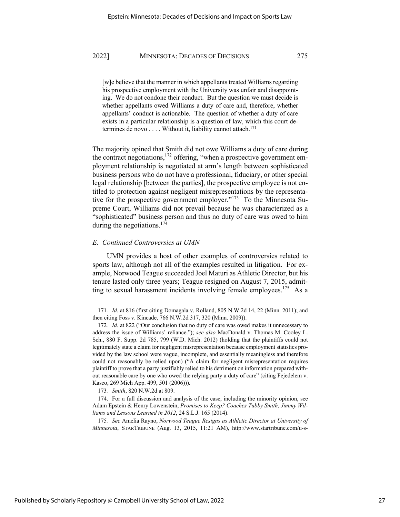[w]e believe that the manner in which appellants treated Williams regarding his prospective employment with the University was unfair and disappointing. We do not condone their conduct. But the question we must decide is whether appellants owed Williams a duty of care and, therefore, whether appellants' conduct is actionable. The question of whether a duty of care exists in a particular relationship is a question of law, which this court determines de novo . . . . Without it, liability cannot attach.<sup>171</sup>

The majority opined that Smith did not owe Williams a duty of care during the contract negotiations,  $172$  offering, "when a prospective government employment relationship is negotiated at arm's length between sophisticated business persons who do not have a professional, fiduciary, or other special legal relationship [between the parties], the prospective employee is not entitled to protection against negligent misrepresentations by the representative for the prospective government employer."<sup>173</sup> To the Minnesota Supreme Court, Williams did not prevail because he was characterized as a "sophisticated" business person and thus no duty of care was owed to him during the negotiations. $174$ 

#### *E. Continued Controversies at UMN*

UMN provides a host of other examples of controversies related to sports law, although not all of the examples resulted in litigation. For example, Norwood Teague succeeded Joel Maturi as Athletic Director, but his tenure lasted only three years; Teague resigned on August 7, 2015, admitting to sexual harassment incidents involving female employees.<sup>175</sup> As a

<sup>171</sup>*. Id*. at 816 (first citing Domagala v. Rolland, 805 N.W.2d 14, 22 (Minn. 2011); and then citing Foss v. Kincade, 766 N.W.2d 317, 320 (Minn. 2009)).

<sup>172</sup>*. Id*. at 822 ("Our conclusion that no duty of care was owed makes it unnecessary to address the issue of Williams' reliance."); *see also* MacDonald v. Thomas M. Cooley L. Sch., 880 F. Supp. 2d 785, 799 (W.D. Mich. 2012) (holding that the plaintiffs could not legitimately state a claim for negligent misrepresentation because employment statistics provided by the law school were vague, incomplete, and essentially meaningless and therefore could not reasonably be relied upon) ("A claim for negligent misrepresentation requires plaintiff to prove that a party justifiably relied to his detriment on information prepared without reasonable care by one who owed the relying party a duty of care" (citing Fejedelem v. Kasco, 269 Mich App. 499, 501 (2006))).

<sup>173</sup>*. Smith*, 820 N.W.2d at 809.

<sup>174.</sup> For a full discussion and analysis of the case, including the minority opinion, see Adam Epstein & Henry Lowenstein, *Promises to Keep? Coaches Tubby Smith, Jimmy Williams and Lessons Learned in 2012*, 24 S.L.J. 165 (2014).

<sup>175</sup>*. See* Amelia Rayno, *Norwood Teague Resigns as Athletic Director at University of Minnesota*, STARTRIBUNE (Aug. 13, 2015, 11:21 AM), http://www.startribune.com/u-s-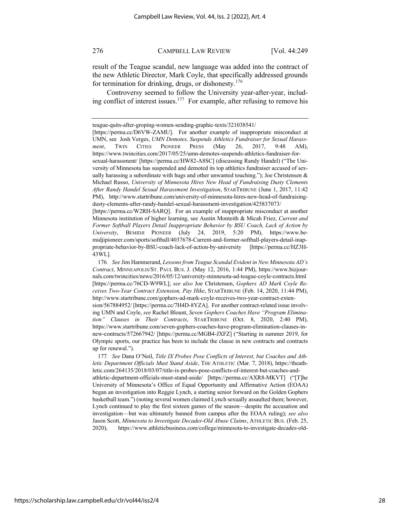result of the Teague scandal, new language was added into the contract of the new Athletic Director, Mark Coyle, that specifically addressed grounds for termination for drinking, drugs, or dishonesty.<sup>176</sup>

Controversy seemed to follow the University year-after-year, including conflict of interest issues.<sup>177</sup> For example, after refusing to remove his

[https://perma.cc/W2RH-SARQ]. For an example of inappropriate misconduct at another Minnesota institution of higher learning, see Austin Monteith & Micah Friez, *Current and Former Softball Players Detail Inappropriate Behavior by BSU Coach, Lack of Action by University*, BEMIDJI PIONEER (July 24, 2019, 5:20 PM), https://www.bemidjipioneer.com/sports/softball/4037678-Current-and-former-softball-players-detail-inappropriate-behavior-by-BSU-coach-lack-of-action-by-university [https://perma.cc/HZ3H-43WL].

176*. See* Jim Hammerand, *Lessons from Teague Scandal Evident in New Minnesota AD's Contract*, MINNEAPOLIS/ST. PAUL BUS. J. (May 12, 2016, 1:44 PM), https://www.bizjournals.com/twincities/news/2016/05/12/university-minnesota-ad-teague-coyle-contracts.html [https://perma.cc/76CD-W9WL]; *see also* Joe Christensen, *Gophers AD Mark Coyle Receives Two-Year Contract Extension, Pay Hike*, STARTRIBUNE (Feb. 14, 2020, 11:44 PM), http://www.startribune.com/gophers-ad-mark-coyle-receives-two-year-contract-exten-

sion/567884952/ [https://perma.cc/7H4D-8YZA]. For another contract-related issue involving UMN and Coyle, *see* Rachel Blount, *Seven Gophers Coaches Have "Program Elimination" Clauses in Their Contracts*, STARTRIBUNE (Oct. 8, 2020, 2:40 PM), https://www.startribune.com/seven-gophers-coaches-have-program-elimination-clauses-innew-contracts/572667942/ [https://perma.cc/MGB4-JXFZ] ("Starting in summer 2019, for Olympic sports, our practice has been to include the clause in new contracts and contracts up for renewal.").

177*. See* Dana O'Neil, *Title IX Probes Pose Conflicts of Interest, but Coaches and Athletic Department Officials Must Stand Aside*, THE ATHLETIC (Mar. 7, 2018), https://theathletic.com/264135/2018/03/07/title-ix-probes-pose-conflicts-of-interest-but-coaches-andathletic-department-officials-must-stand-aside/ [https://perma.cc/AXR8-MKVT] ("[T]he University of Minnesota's Office of Equal Opportunity and Affirmative Action (EOAA) began an investigation into Reggie Lynch, a starting senior forward on the Golden Gophers basketball team.") (noting several women claimed Lynch sexually assaulted them; however, Lynch continued to play the first sixteen games of the season—despite the accusation and investigation—but was ultimately banned from campus after the EOAA ruling); *see also* Jason Scott, *Minnesota to Investigate Decades-Old Abuse Claims*, ATHLETIC BUS. (Feb. 25, 2020), https://www.athleticbusiness.com/college/minnesota-to-investigate-decades-old-

teague-quits-after-groping-women-sending-graphic-texts/321038541/

<sup>[</sup>https://perma.cc/D6VW-ZAMU]. For another example of inappropriate misconduct at UMN, see Josh Verges, *UMN Demotes, Suspends Athletics Fundraiser for Sexual Harassment*, TWIN CITIES PIONEER PRESS (May 26, 2017, 9:48 AM), https://www.twincities.com/2017/05/25/umn-demotes-suspends-athletics-fundraiser-forsexual-harassment/ [https://perma.cc/HW82-A8SC] (discussing Randy Handel) ("The University of Minnesota has suspended and demoted its top athletics fundraiser accused of sexually harassing a subordinate with hugs and other unwanted touching."); Joe Christensen & Michael Russo, *University of Minnesota Hires New Head of Fundraising Dusty Clements After Randy Handel Sexual Harassment Investigation*, STARTRIBUNE (June 1, 2017, 11:42 PM), http://www.startribune.com/university-of-minnesota-hires-new-head-of-fundraisingdusty-clements-after-randy-handel-sexual-harassment-investigation/425837073/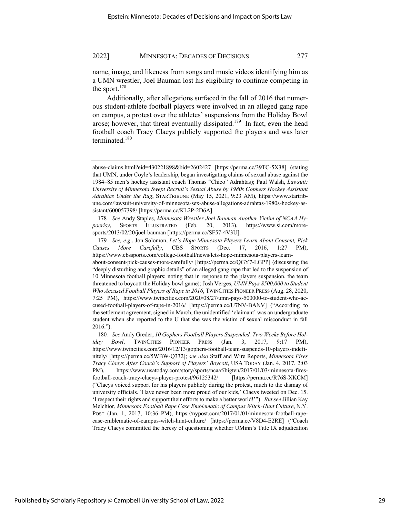name, image, and likeness from songs and music videos identifying him as a UMN wrestler, Joel Bauman lost his eligibility to continue competing in the sport. $178$ 

Additionally, after allegations surfaced in the fall of 2016 that numerous student-athlete football players were involved in an alleged gang rape on campus, a protest over the athletes' suspensions from the Holiday Bowl arose; however, that threat eventually dissipated.<sup>179</sup> In fact, even the head football coach Tracy Claeys publicly supported the players and was later terminated. $180$ 

178*. See* Andy Staples, *Minnesota Wrestler Joel Bauman Another Victim of NCAA Hypocrisy*, SPORTS ILLUSTRATED (Feb. 20, 2013), https://www.si.com/moresports/2013/02/20/joel-bauman [https://perma.cc/SF57-4V3U].

179*. See, e.g*., Jon Solomon, *Let's Hope Minnesota Players Learn About Consent, Pick Causes More Carefully*, CBS SPORTS (Dec. 17, 2016, 1:27 PM), https://www.cbssports.com/college-football/news/lets-hope-minnesota-players-learnabout-consent-pick-causes-more-carefully/ [https://perma.cc/QGY7-LGPP] (discussing the "deeply disturbing and graphic details" of an alleged gang rape that led to the suspension of 10 Minnesota football players; noting that in response to the players suspension, the team threatened to boycott the Holiday bowl game); Josh Verges, *UMN Pays \$500,000 to Student Who Accused Football Players of Rape in 2016*, TWINCITIES PIONEER PRESS (Aug. 28, 2020, 7:25 PM), https://www.twincities.com/2020/08/27/umn-pays-500000-to-student-who-accused-football-players-of-rape-in-2016/ [https://perma.cc/U7NV-BANV] ("According to the settlement agreement, signed in March, the unidentified 'claimant' was an undergraduate student when she reported to the U that she was the victim of sexual misconduct in fall 2016.").

180*. See* Andy Greder, *10 Gophers Football Players Suspended, Two Weeks Before Holiday Bowl*, TWINCITIES PIONEER PRESS (Jan. 3, 2017, 9:17 PM), https://www.twincities.com/2016/12/13/gophers-football-team-suspends-10-players-indefinitely/ [https://perma.cc/5WBW-Q332]; *see also* Staff and Wire Reports, *Minnesota Fires Tracy Claeys After Coach's Support of Players' Boycott*, USA TODAY (Jan. 4, 2017, 2:03 PM), https://www.usatoday.com/story/sports/ncaaf/bigten/2017/01/03/minnesota-firesfootball-coach-tracy-claeys-player-protest/96125342/ [https://perma.cc/R76S-XKCM] ("Claeys voiced support for his players publicly during the protest, much to the dismay of university officials. 'Have never been more proud of our kids,' Claeys tweeted on Dec. 15. 'I respect their rights and support their efforts to make a better world!'"). *But see* Jillian Kay Melchior, *Minnesota Football Rape Case Emblematic of Campus Witch-Hunt Culture*, N.Y. POST (Jan. 1, 2017, 10:36 PM), https://nypost.com/2017/01/01/minnesota-football-rapecase-emblematic-of-campus-witch-hunt-culture/ [https://perma.cc/V8D4-E2RE] ("Coach Tracy Claeys committed the heresy of questioning whether UMinn's Title IX adjudication

abuse-claims.html?eid=430221898&bid=2602427 [https://perma.cc/39TC-5X38] (stating that UMN, under Coyle's leadership, began investigating claims of sexual abuse against the 1984–85 men's hockey assistant coach Thomas "Chico" Adrahtas); Paul Walsh, *Lawsuit: University of Minnesota Swept Recruit's Sexual Abuse by 1980s Gophers Hockey Assistant Adrahtas Under the Rug*, STARTRIBUNE (May 15, 2021, 9:23 AM), https://www.startribune.com/lawsuit-university-of-minnesota-sex-abuse-allegations-adrahtas-1980s-hockey-assistant/600057398/ [https://perma.cc/KL2P-2D6A].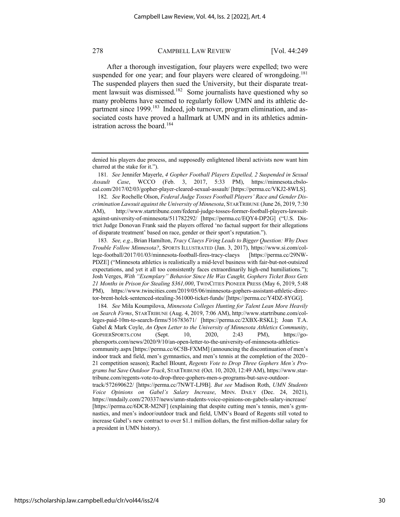After a thorough investigation, four players were expelled; two were suspended for one year; and four players were cleared of wrongdoing.<sup>181</sup> The suspended players then sued the University, but their disparate treatment lawsuit was dismissed.<sup>182</sup> Some journalists have questioned why so many problems have seemed to regularly follow UMN and its athletic department since 1999.<sup>183</sup> Indeed, job turnover, program elimination, and associated costs have proved a hallmark at UMN and in its athletics administration across the board.<sup>184</sup>

181*. See* Jennifer Mayerle, *4 Gopher Football Players Expelled, 2 Suspended in Sexual Assault Case*, WCCO (Feb. 3, 2017, 5:33 PM), https://minnesota.cbslocal.com/2017/02/03/gopher-player-cleared-sexual-assault/ [https://perma.cc/VKJ2-8WLS].

182*. See* Rochelle Olson, *Federal Judge Tosses Football Players' Race and Gender Discrimination Lawsuit against the University of Minnesota*, STARTRIBUNE (June 26, 2019, 7:30 AM), http://www.startribune.com/federal-judge-tosses-former-football-players-lawsuitagainst-university-of-minnesota/511782292/ [https://perma.cc/EQY4-DP2G] ("U.S. District Judge Donovan Frank said the players offered 'no factual support for their allegations of disparate treatment' based on race, gender or their sport's reputation.").

183*. See, e.g.*, Brian Hamilton, *Tracy Claeys Firing Leads to Bigger Question: Why Does Trouble Follow Minnesota?*, SPORTS ILLUSTRATED (Jan. 3, 2017), https://www.si.com/college-football/2017/01/03/minnesota-football-fires-tracy-claeys [https://perma.cc/29NW-PDZE] ("Minnesota athletics is realistically a mid-level business with fair-but-not-outsized expectations, and yet it all too consistently faces extraordinarily high-end humiliations."); Josh Verges, *With "Exemplary" Behavior Since He Was Caught, Gophers Ticket Boss Gets 21 Months in Prison for Stealing \$361,000*, TWINCITIES PIONEER PRESS (May 6, 2019, 5:48 PM), https://www.twincities.com/2019/05/06/minnesota-gophers-assistant-athletic-director-brent-holck-sentenced-stealing-361000-ticket-funds/ [https://perma.cc/Y4DZ-8YGG].

184*. See* Mila Koumpilova, *Minnesota Colleges Hunting for Talent Lean More Heavily on Search Firms*, STARTRIBUNE (Aug. 4, 2019, 7:06 AM), http://www.startribune.com/colleges-paid-10m-to-search-firms/516783671/ [https://perma.cc/2XBX-RSKL]; Joan T.A. Gabel & Mark Coyle, *An Open Letter to the University of Minnesota Athletics Community*, GOPHERSPORTS.COM (Sept. 10, 2020, 2:43 PM), https://gophersports.com/news/2020/9/10/an-open-letter-to-the-university-of-minnesota-athleticscommunity.aspx [https://perma.cc/6C5B-FXMM] (announcing the discontinuation of men's indoor track and field, men's gymnastics, and men's tennis at the completion of the 2020– 21 competition season); Rachel Blount, *Regents Vote to Drop Three Gophers Men's Programs but Save Outdoor Track*, STARTRIBUNE (Oct. 10, 2020, 12:49 AM), https://www.startribune.com/regents-vote-to-drop-three-gophers-men-s-programs-but-save-outdoortrack/572690622/ [https://perma.cc/7NWT-LJ9B]. *But see* Madison Roth, *UMN Students Voice Opinions on Gabel's Salary Increase*, MINN. DAILY (Dec. 24, 2021), https://mndaily.com/270337/news/umn-students-voice-opinions-on-gabels-salary-increase/ [https://perma.cc/6DCR-M2NF] (explaining that despite cutting men's tennis, men's gymnastics, and men's indoor/outdoor track and field, UMN's Board of Regents still voted to increase Gabel's new contract to over \$1.1 million dollars, the first million-dollar salary for a president in UMN history).

denied his players due process, and supposedly enlightened liberal activists now want him charred at the stake for it.").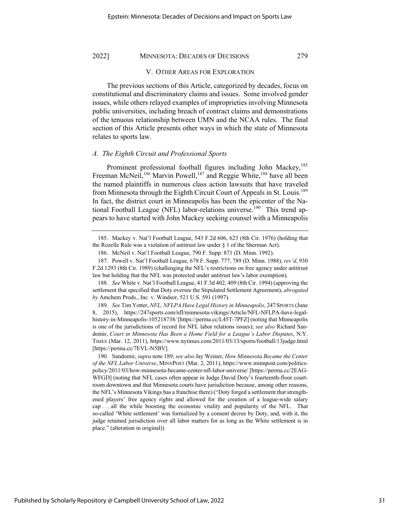#### V. OTHER AREAS FOR EXPLORATION

The previous sections of this Article, categorized by decades, focus on constitutional and discriminatory claims and issues. Some involved gender issues, while others relayed examples of improprieties involving Minnesota public universities, including breach of contract claims and demonstrations of the tenuous relationship between UMN and the NCAA rules. The final section of this Article presents other ways in which the state of Minnesota relates to sports law.

#### *A. The Eighth Circuit and Professional Sports*

Prominent professional football figures including John Mackey,<sup>185</sup> Freeman McNeil,<sup>186</sup> Marvin Powell,<sup>187</sup> and Reggie White,<sup>188</sup> have all been the named plaintiffs in numerous class action lawsuits that have traveled from Minnesota through the Eighth Circuit Court of Appeals in St. Louis.<sup>189</sup> In fact, the district court in Minneapolis has been the epicenter of the National Football League (NFL) labor-relations universe.<sup>190</sup> This trend appears to have started with John Mackey seeking counsel with a Minneapolis

<sup>185.</sup> Mackey v. Nat'l Football League, 543 F.2d 606, 623 (8th Cir. 1976) (holding that the Rozelle Rule was a violation of antitrust law under § 1 of the Sherman Act).

<sup>186.</sup> McNeil v. Nat'l Football League, 790 F. Supp. 871 (D. Minn. 1992).

<sup>187.</sup> Powell v. Nat'l Football League, 678 F. Supp. 777, 789 (D. Minn. 1988), *rev'd*, 930 F.2d 1293 (8th Cir. 1989) (challenging the NFL's restrictions on free agency under antitrust law but holding that the NFL was protected under antitrust law's labor exemption).

<sup>188</sup>*. See* White v. Nat'l Football League, 41 F.3d 402, 409 (8th Cir. 1994) (approving the settlement that specified that Doty oversee the Stipulated Settlement Agreement), *abrogated by* Amchem Prods., Inc. v. Windsor, 521 U.S. 591 (1997).

<sup>189</sup>*. See* Tim Yotter, *NFL, NFLPA Have Legal History in Minneapolis*, 247 SPORTS (June 8, 2015), https://247sports.com/nfl/minnesota-vikings/Article/NFL-NFLPA-have-legalhistory-in-Minneapolis-105218738/ [https://perma.cc/L45T-7PFZ] (noting that Minneapolis is one of the jurisdictions of record for NFL labor relations issues); *see also* Richard Sandomir, *Court in Minnesota Has Been a Home Field for a League's Labor Disputes*, N.Y. TIMES (Mar. 12, 2011), https://www.nytimes.com/2011/03/13/sports/football/13judge.html [https://perma.cc/7EVL-N5BV].

<sup>190.</sup> Sandomir, *supra* note 189; *see also* Jay Weiner, *How Minnesota Became the Center of the NFL Labor Universe*, MINNPOST (Mar. 2, 2011), https://www.minnpost.com/politicspolicy/2011/03/how-minnesota-became-center-nfl-labor-universe/ [https://perma.cc/2EAG-WFGD] (noting that NFL cases often appear in Judge David Doty's fourteenth-floor courtroom downtown and that Minnesota courts have jurisdiction because, among other reasons, the NFL's Minnesota Vikings has a franchise there) ("Doty forged a settlement that strengthened players' free agency rights and allowed for the creation of a league-wide salary cap . . . all the while boosting the economic vitality and popularity of the NFL. That so-called 'White settlement' was formalized by a consent decree by Doty, and, with it, the judge retained jurisdiction over all labor matters for as long as the White settlement is in place." (alteration in original))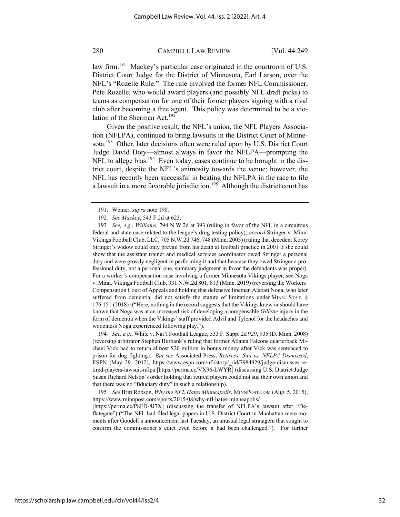law firm.<sup>191</sup> Mackey's particular case originated in the courtroom of U.S. District Court Judge for the District of Minnesota, Earl Larson, over the NFL's "Rozelle Rule." The rule involved the former NFL Commissioner, Pete Rozelle, who would award players (and possibly NFL draft picks) to teams as compensation for one of their former players signing with a rival club after becoming a free agent. This policy was determined to be a violation of the Sherman Act.<sup>192</sup>

Given the positive result, the NFL's union, the NFL Players Association (NFLPA), continued to bring lawsuits in the District Court of Minnesota.<sup>193</sup> Other, later decisions often were ruled upon by U.S. District Court Judge David Doty—almost always in favor the NFLPA—prompting the NFL to allege bias.<sup>194</sup> Even today, cases continue to be brought in the district court, despite the NFL's animosity towards the venue; however, the NFL has recently been successful in beating the NFLPA in the race to file a lawsuit in a more favorable jurisdiction.195 Although the district court has

194*. See, e.g.*, White v. Nat'l Football League, 533 F. Supp. 2d 929, 935 (D. Minn. 2008) (reversing arbitrator Stephen Burbank's ruling that former Atlanta Falcons quarterback Michael Vick had to return almost \$20 million in bonus money after Vick was sentenced to prison for dog fighting). *But see* Associated Press, *Retirees' Suit vs. NFLPA Dismissed*, ESPN (May 29, 2012), https://www.espn.com/nfl/story/\_/id/7984929/judge-dismisses-retired-players-lawsuit-nflpa [https://perma.cc/VX96-LWYR] (discussing U.S. District Judge Susan Richard Nelson's order holding that retired players could not sue their own union and that there was no "fiduciary duty" in such a relationship).

195*. See* Britt Robson, *Why the NFL Hates Minneapolis*, MINNPOST.COM (Aug. 5, 2015), https://www.minnpost.com/sports/2015/08/why-nfl-hates-minneapolis/

[https://perma.cc/P8FD-8J7X] (discussing the transfer of NFLPA's lawsuit after "Deflategate") ("The NFL had filed legal papers in U.S. District Court in Manhattan mere moments after Goodell's announcement last Tuesday, an unusual legal stratagem that sought to confirm the commissioner's edict even before it had been challenged."). For further

<sup>191.</sup> Weiner, *supra* note 190.

<sup>192</sup>*. See Mackey*, 543 F.2d at 623.

<sup>193</sup>*. See, e.g*., *Williams*, 794 N.W.2d at 393 (ruling in favor of the NFL in a circuitous federal and state case related to the league's drug testing policy); *accord* Stringer v. Minn. Vikings Football Club, LLC, 705 N.W.2d 746, 748 (Minn. 2005) (ruling that decedent Korey Stringer's widow could only prevail from his death at football practice in 2001 if she could show that the assistant trainer and medical services coordinator owed Stringer a personal duty and were grossly negligent in performing it and that because they owed Stringer a professional duty, not a personal one, summary judgment in favor the defendants was proper). For a worker's compensation case involving a former Minnesota Vikings player, see Noga v. Minn. Vikings Football Club, 931 N.W.2d 801, 813 (Minn. 2019) (reversing the Workers' Compensation Court of Appeals and holding that defensive lineman Alapati Noga, who later suffered from dementia, did not satisfy the statute of limitations under MINN. STAT. § 176.151 (2018)) ("Here, nothing in the record suggests that the Vikings knew or should have known that Noga was at an increased risk of developing a compensable *Gillette* injury in the form of dementia when the Vikings' staff provided Advil and Tylenol for the headaches and wooziness Noga experienced following play.").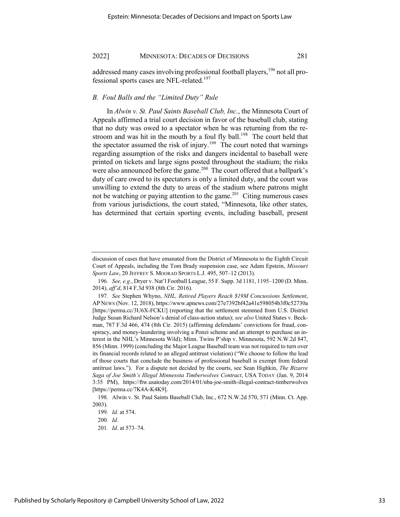addressed many cases involving professional football players,<sup>196</sup> not all professional sports cases are NFL-related.<sup>197</sup>

## *B. Foul Balls and the "Limited Duty" Rule*

In *Alwin v. St. Paul Saints Baseball Club, Inc.*, the Minnesota Court of Appeals affirmed a trial court decision in favor of the baseball club, stating that no duty was owed to a spectator when he was returning from the restroom and was hit in the mouth by a foul fly ball.<sup>198</sup> The court held that the spectator assumed the risk of injury.<sup>199</sup> The court noted that warnings regarding assumption of the risks and dangers incidental to baseball were printed on tickets and large signs posted throughout the stadium; the risks were also announced before the game.<sup>200</sup> The court offered that a ballpark's duty of care owed to its spectators is only a limited duty, and the court was unwilling to extend the duty to areas of the stadium where patrons might not be watching or paying attention to the game.<sup>201</sup> Citing numerous cases from various jurisdictions, the court stated, "Minnesota, like other states, has determined that certain sporting events, including baseball, present

discussion of cases that have emanated from the District of Minnesota to the Eighth Circuit Court of Appeals, including the Tom Brady suspension case, see Adam Epstein, *Missouri Sports Law*, 20 JEFFREY S. MOORAD SPORTS L.J. 495, 507–12 (2013).

<sup>196</sup>*. See, e.g.*, Dryer v. Nat'l Football League, 55 F. Supp. 3d 1181, 1195–1200 (D. Minn. 2014), *aff'd*, 814 F.3d 938 (8th Cir. 2016).

<sup>197</sup>*. See* Stephen Whyno, *NHL, Retired Players Reach \$19M Concussions Settlement*, AP NEWS (Nov. 12, 2018), https://www.apnews.com/27e7392bf42a41e598054b3f0c52730a [https://perma.cc/3U6X-FCKU] (reporting that the settlement stemmed from U.S. District Judge Susan Richard Nelson's denial of class-action status); *see also* United States v. Beckman, 787 F.3d 466, 474 (8th Cir. 2015) (affirming defendants' convictions for fraud, conspiracy, and money-laundering involving a Ponzi scheme and an attempt to purchase an interest in the NHL's Minnesota Wild); Minn. Twins P'ship v. Minnesota, 592 N.W.2d 847, 856 (Minn. 1999) (concluding the Major League Baseball team was not required to turn over its financial records related to an alleged antitrust violation) ("We choose to follow the lead of those courts that conclude the business of professional baseball is exempt from federal antitrust laws."). For a dispute not decided by the courts, see Sean Highkin, *The Bizarre Saga of Joe Smith's Illegal Minnesota Timberwolves Contract*, USA TODAY (Jan. 9, 2014 3:35 PM), https://ftw.usatoday.com/2014/01/nba-joe-smith-illegal-contract-timberwolves [https://perma.cc/7K4A-K4K9].

<sup>198.</sup> Alwin v. St. Paul Saints Baseball Club, Inc., 672 N.W.2d 570, 571 (Minn. Ct. App. 2003).

<sup>199</sup>*. Id*. at 574.

<sup>200</sup>*. Id*.

<sup>201</sup>*. Id*. at 573–74.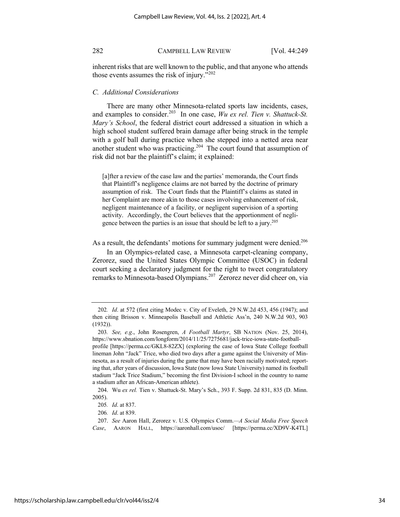inherent risks that are well known to the public, and that anyone who attends those events assumes the risk of injury."<sup>202</sup>

#### *C. Additional Considerations*

There are many other Minnesota-related sports law incidents, cases, and examples to consider.<sup>203</sup> In one case, *Wu ex rel. Tien v. Shattuck-St. Mary's School*, the federal district court addressed a situation in which a high school student suffered brain damage after being struck in the temple with a golf ball during practice when she stepped into a netted area near another student who was practicing.<sup>204</sup> The court found that assumption of risk did not bar the plaintiff's claim; it explained:

[a]fter a review of the case law and the parties' memoranda, the Court finds that Plaintiff's negligence claims are not barred by the doctrine of primary assumption of risk. The Court finds that the Plaintiff's claims as stated in her Complaint are more akin to those cases involving enhancement of risk, negligent maintenance of a facility, or negligent supervision of a sporting activity. Accordingly, the Court believes that the apportionment of negligence between the parties is an issue that should be left to a jury.<sup>205</sup>

As a result, the defendants' motions for summary judgment were denied.<sup>206</sup>

In an Olympics-related case, a Minnesota carpet-cleaning company, Zerorez, sued the United States Olympic Committee (USOC) in federal court seeking a declaratory judgment for the right to tweet congratulatory remarks to Minnesota-based Olympians.207 Zerorez never did cheer on, via

<sup>202</sup>*. Id*. at 572 (first citing Modec v. City of Eveleth, 29 N.W.2d 453, 456 (1947); and then citing Brisson v. Minneapolis Baseball and Athletic Ass'n, 240 N.W.2d 903, 903 (1932)).

<sup>203</sup>*. See, e.g*., John Rosengren, *A Football Martyr*, SB NATION (Nov. 25, 2014), https://www.sbnation.com/longform/2014/11/25/7275681/jack-trice-iowa-state-footballprofile [https://perma.cc/GKL8-82ZX] (exploring the case of Iowa State College football lineman John "Jack" Trice, who died two days after a game against the University of Minnesota, as a result of injuries during the game that may have been racially motivated; reporting that, after years of discussion, Iowa State (now Iowa State University) named its football stadium "Jack Trice Stadium," becoming the first Division-I school in the country to name a stadium after an African-American athlete).

<sup>204.</sup> Wu *ex rel.* Tien v. Shattuck-St. Mary's Sch., 393 F. Supp. 2d 831, 835 (D. Minn. 2005).

<sup>205</sup>*. Id*. at 837.

<sup>206</sup>*. Id*. at 839.

<sup>207.</sup> *See* Aaron Hall, Zerorez v. U.S. Olympics Comm.*—A Social Media Free Speech Case*, AARON HALL, https://aaronhall.com/usoc/ [https://perma.cc/XD9V-K4TL]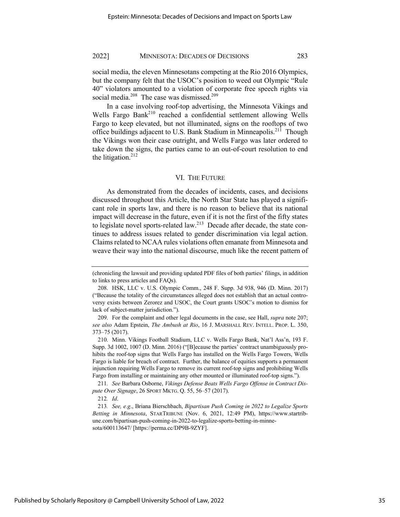social media, the eleven Minnesotans competing at the Rio 2016 Olympics, but the company felt that the USOC's position to weed out Olympic "Rule 40" violators amounted to a violation of corporate free speech rights via social media. $208$  The case was dismissed. $209$ 

In a case involving roof-top advertising, the Minnesota Vikings and Wells Fargo Bank<sup>210</sup> reached a confidential settlement allowing Wells Fargo to keep elevated, but not illuminated, signs on the rooftops of two office buildings adjacent to U.S. Bank Stadium in Minneapolis.<sup>211</sup> Though the Vikings won their case outright, and Wells Fargo was later ordered to take down the signs, the parties came to an out-of-court resolution to end the litigation. $212$ 

#### VI. THE FUTURE

As demonstrated from the decades of incidents, cases, and decisions discussed throughout this Article, the North Star State has played a significant role in sports law, and there is no reason to believe that its national impact will decrease in the future, even if it is not the first of the fifty states to legislate novel sports-related law.<sup>213</sup> Decade after decade, the state continues to address issues related to gender discrimination via legal action. Claims related to NCAA rules violations often emanate from Minnesota and weave their way into the national discourse, much like the recent pattern of

<sup>(</sup>chronicling the lawsuit and providing updated PDF files of both parties' filings, in addition to links to press articles and FAQs).

<sup>208.</sup> HSK, LLC v. U.S. Olympic Comm., 248 F. Supp. 3d 938, 946 (D. Minn. 2017) ("Because the totality of the circumstances alleged does not establish that an actual controversy exists between Zerorez and USOC, the Court grants USOC's motion to dismiss for lack of subject-matter jurisdiction.").

<sup>209.</sup> For the complaint and other legal documents in the case, see Hall, *supra* note 207; *see also* Adam Epstein, *The Ambush at Rio*, 16 J. MARSHALL REV. INTELL. PROP. L. 350, 373–75 (2017).

<sup>210.</sup> Minn. Vikings Football Stadium, LLC v. Wells Fargo Bank, Nat'l Ass'n, 193 F. Supp. 3d 1002, 1007 (D. Minn. 2016) ("[B]ecause the parties' contract unambiguously prohibits the roof-top signs that Wells Fargo has installed on the Wells Fargo Towers, Wells Fargo is liable for breach of contract. Further, the balance of equities supports a permanent injunction requiring Wells Fargo to remove its current roof-top signs and prohibiting Wells Fargo from installing or maintaining any other mounted or illuminated roof-top signs.").

<sup>211</sup>*. See* Barbara Osborne, *Vikings Defense Beats Wells Fargo Offense in Contract Dispute Over Signage*, 26 SPORT MKTG. Q. 55, 56–57 (2017).

<sup>212</sup>*. Id*.

<sup>213</sup>*. See, e.g*., Briana Bierschbach, *Bipartisan Push Coming in 2022 to Legalize Sports Betting in Minnesota*, STARTRIBUNE (Nov. 6, 2021, 12:49 PM), https://www.startribune.com/bipartisan-push-coming-in-2022-to-legalize-sports-betting-in-minnesota/600113647/ [https://perma.cc/DP9B-9ZYF].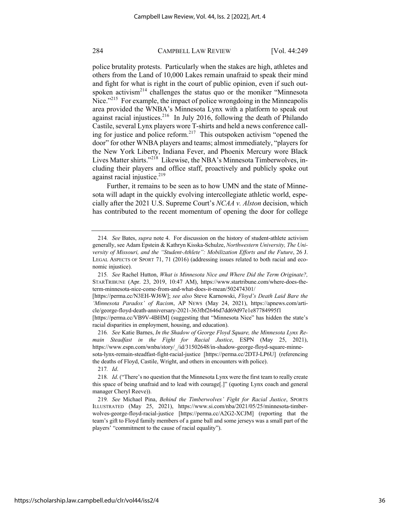police brutality protests. Particularly when the stakes are high, athletes and others from the Land of 10,000 Lakes remain unafraid to speak their mind and fight for what is right in the court of public opinion, even if such outspoken activism<sup>214</sup> challenges the status quo or the moniker "Minnesota Nice."<sup>215</sup> For example, the impact of police wrongdoing in the Minneapolis area provided the WNBA's Minnesota Lynx with a platform to speak out against racial injustices.<sup>216</sup> In July 2016, following the death of Philando Castile, several Lynx players wore T-shirts and held a news conference calling for justice and police reform.<sup>217</sup> This outspoken activism "opened the door" for other WNBA players and teams; almost immediately, "players for the New York Liberty, Indiana Fever, and Phoenix Mercury wore Black Lives Matter shirts."<sup>218</sup> Likewise, the NBA's Minnesota Timberwolves, including their players and office staff, proactively and publicly spoke out against racial injustice. $219$ 

Further, it remains to be seen as to how UMN and the state of Minnesota will adapt in the quickly evolving intercollegiate athletic world, especially after the 2021 U.S. Supreme Court's *NCAA v. Alston* decision, which has contributed to the recent momentum of opening the door for college

[https://perma.cc/VB9V-4BHM] (suggesting that "Minnesota Nice" has hidden the state's racial disparities in employment, housing, and education).

216*. See* Katie Barnes, *In the Shadow of George Floyd Square, the Minnesota Lynx Remain Steadfast in the Fight for Racial Justice*, ESPN (May 25, 2021), https://www.espn.com/wnba/story/\_/id/31502648/in-shadow-george-floyd-square-minnesota-lynx-remain-steadfast-fight-racial-justice [https://perma.cc/2DTJ-LP6U] (referencing the deaths of Floyd, Castile, Wright, and others in encounters with police).

217*. Id*.

https://scholarship.law.campbell.edu/clr/vol44/iss2/4

<sup>214</sup>*. See* Bates, *supra* note 4. For discussion on the history of student-athlete activism generally, see Adam Epstein & Kathryn Kisska-Schulze, *Northwestern University, The University of Missouri, and the "Student-Athlete": Mobilization Efforts and the Future*, 26 J. LEGAL ASPECTS OF SPORT 71, 71 (2016) (addressing issues related to both racial and economic injustice).

<sup>215</sup>*. See* Rachel Hutton, *What is Minnesota Nice and Where Did the Term Originate?,* STARTRIBUNE (Apr. 23, 2019, 10:47 AM), https://www.startribune.com/where-does-theterm-minnesota-nice-come-from-and-what-does-it-mean/502474301/

<sup>[</sup>https://perma.cc/N3EH-WJ6W]; *see also* Steve Karnowski, *Floyd's Death Laid Bare the 'Minnesota Paradox' of Racism*, AP NEWS (May 24, 2021), https://apnews.com/article/george-floyd-death-anniversary-2021-363fbf2646d7dd69d97e1e87784995f1

<sup>218</sup>*. Id*. ("There's no question that the Minnesota Lynx were the first team to really create this space of being unafraid and to lead with courage[.]" (quoting Lynx coach and general manager Cheryl Reeve)).

<sup>219</sup>*. See* Michael Pina, *Behind the Timberwolves' Fight for Racial Justice*, SPORTS ILLUSTRATED (May 25, 2021), https://www.si.com/nba/2021/05/25/minnesota-timberwolves-george-floyd-racial-justice [https://perma.cc/A2G2-XCJM] (reporting that the team's gift to Floyd family members of a game ball and some jerseys was a small part of the players' "commitment to the cause of racial equality").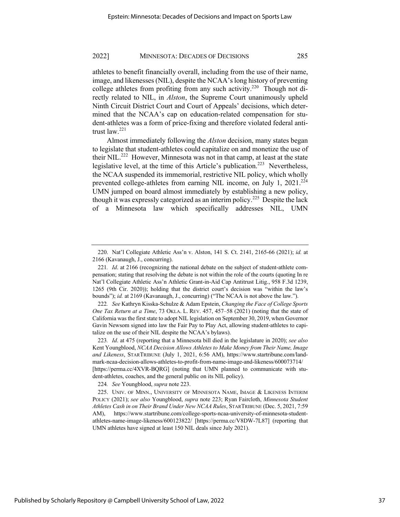athletes to benefit financially overall, including from the use of their name, image, and likenesses (NIL), despite the NCAA's long history of preventing college athletes from profiting from any such activity.<sup>220</sup> Though not directly related to NIL, in *Alston*, the Supreme Court unanimously upheld Ninth Circuit District Court and Court of Appeals' decisions, which determined that the NCAA's cap on education-related compensation for student-athletes was a form of price-fixing and therefore violated federal antitrust law.<sup>221</sup>

Almost immediately following the *Alston* decision, many states began to legislate that student-athletes could capitalize on and monetize the use of their NIL.<sup>222</sup> However, Minnesota was not in that camp, at least at the state legislative level, at the time of this Article's publication.<sup>223</sup> Nevertheless, the NCAA suspended its immemorial, restrictive NIL policy, which wholly prevented college-athletes from earning NIL income, on July 1, 2021.<sup>224</sup> UMN jumped on board almost immediately by establishing a new policy, though it was expressly categorized as an interim policy.<sup>225</sup> Despite the lack of a Minnesota law which specifically addresses NIL, UMN

224*. See* Youngblood, *supra* note 223.

<sup>220.</sup> Nat'l Collegiate Athletic Ass'n v. Alston, 141 S. Ct. 2141, 2165-66 (2021); *id.* at 2166 (Kavanaugh, J., concurring).

<sup>221</sup>*. Id*. at 2166 (recognizing the national debate on the subject of student-athlete compensation; stating that resolving the debate is not within the role of the courts (quoting In re Nat'l Collegiate Athletic Ass'n Athletic Grant-in-Aid Cap Antitrust Litig., 958 F.3d 1239, 1265 (9th Cir. 2020)); holding that the district court's decision was "within the law's bounds"); *id.* at 2169 (Kavanaugh, J., concurring) ("The NCAA is not above the law.").

<sup>222</sup>*. See* Kathryn Kisska-Schulze & Adam Epstein, *Changing the Face of College Sports One Tax Return at a Time*, 73 OKLA. L. REV. 457, 457–58 (2021) (noting that the state of California was the first state to adopt NIL legislation on September 30, 2019, when Governor Gavin Newsom signed into law the Fair Pay to Play Act, allowing student-athletes to capitalize on the use of their NIL despite the NCAA's bylaws).

<sup>223</sup>*. Id*. at 475 (reporting that a Minnesota bill died in the legislature in 2020); *see also* Kent Youngblood, *NCAA Decision Allows Athletes to Make Money from Their Name, Image and Likeness*, STARTRIBUNE (July 1, 2021, 6:56 AM), https://www.startribune.com/landmark-ncaa-decision-allows-athletes-to-profit-from-name-image-and-likeness/600073714/ [https://perma.cc/4XVR-BQRG] (noting that UMN planned to communicate with student-athletes, coaches, and the general public on its NIL policy).

<sup>225.</sup> UNIV. OF MINN., UNIVERSITY OF MINNESOTA NAME, IMAGE & LIKENESS INTERIM POLICY (2021); *see also* Youngblood, *supra* note 223; Ryan Faircloth, *Minnesota Student Athletes Cash in on Their Brand Under New NCAA Rules*, STARTRIBUNE (Dec. 5, 2021, 7:59 AM), https://www.startribune.com/college-sports-ncaa-university-of-minnesota-studentathletes-name-image-likeness/600123822/ [https://perma.cc/V8DW-7L87] (reporting that UMN athletes have signed at least 150 NIL deals since July 2021).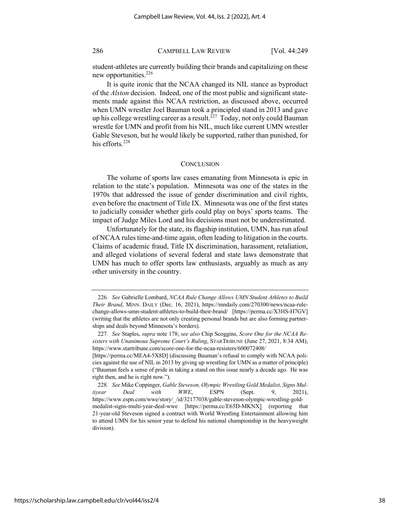student-athletes are currently building their brands and capitalizing on these new opportunities.<sup>226</sup>

It is quite ironic that the NCAA changed its NIL stance as byproduct of the *Alston* decision. Indeed, one of the most public and significant statements made against this NCAA restriction, as discussed above, occurred when UMN wrestler Joel Bauman took a principled stand in 2013 and gave up his college wrestling career as a result.<sup>227</sup> Today, not only could Bauman wrestle for UMN and profit from his NIL, much like current UMN wrestler Gable Steveson, but he would likely be supported, rather than punished, for his efforts.<sup>228</sup>

#### **CONCLUSION**

The volume of sports law cases emanating from Minnesota is epic in relation to the state's population. Minnesota was one of the states in the 1970s that addressed the issue of gender discrimination and civil rights, even before the enactment of Title IX. Minnesota was one of the first states to judicially consider whether girls could play on boys' sports teams. The impact of Judge Miles Lord and his decisions must not be underestimated.

Unfortunately for the state, its flagship institution, UMN, has run afoul of NCAA rules time-and-time again, often leading to litigation in the courts. Claims of academic fraud, Title IX discrimination, harassment, retaliation, and alleged violations of several federal and state laws demonstrate that UMN has much to offer sports law enthusiasts, arguably as much as any other university in the country.

<sup>226</sup>*. See* Gabrielle Lombard, *NCAA Rule Change Allows UMN Student Athletes to Build Their Brand*, MINN. DAILY (Dec. 16, 2021), https://mndaily.com/270300/news/ncaa-rulechange-allows-umn-student-athletes-to-build-their-brand/ [https://perma.cc/X3HS-H7GV] (writing that the athletes are not only creating personal brands but are also forming partnerships and deals beyond Minnesota's borders).

<sup>227</sup>*. See* Staples, *supra* note 178; *see also* Chip Scoggins, *Score One for the NCAA Resisters with Unanimous Supreme Court's Ruling*, STARTRIBUNE (June 27, 2021, 8:34 AM), https://www.startribune.com/score-one-for-the-ncaa-resisters/600072408/

<sup>[</sup>https://perma.cc/MEA4-5X8D] (discussing Bauman's refusal to comply with NCAA policies against the use of NIL in 2013 by giving up wrestling for UMN as a matter of principle) ("Bauman feels a sense of pride in taking a stand on this issue nearly a decade ago. He was right then, and he is right now.").

<sup>228</sup>*. See* Mike Coppinger, *Gable Steveson, Olympic Wrestling Gold Medalist, Signs Multiyear Deal with WWE*, ESPN (Sept. 9, 2021), https://www.espn.com/wwe/story/\_/id/32177038/gable-steveson-olympic-wrestling-goldmedalist-signs-multi-year-deal-wwe [https://perma.cc/E65D-MKNX] (reporting that 21-year-old Steveson signed a contract with World Wrestling Entertainment allowing him to attend UMN for his senior year to defend his national championship in the heavyweight division).